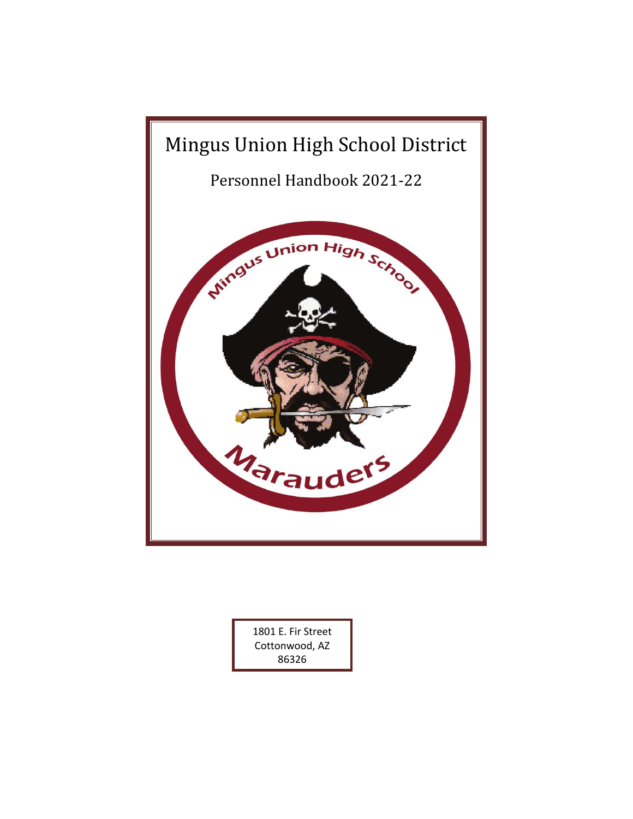

1801 E. Fir Street Cottonwood, AZ 86326

Main Office – (928)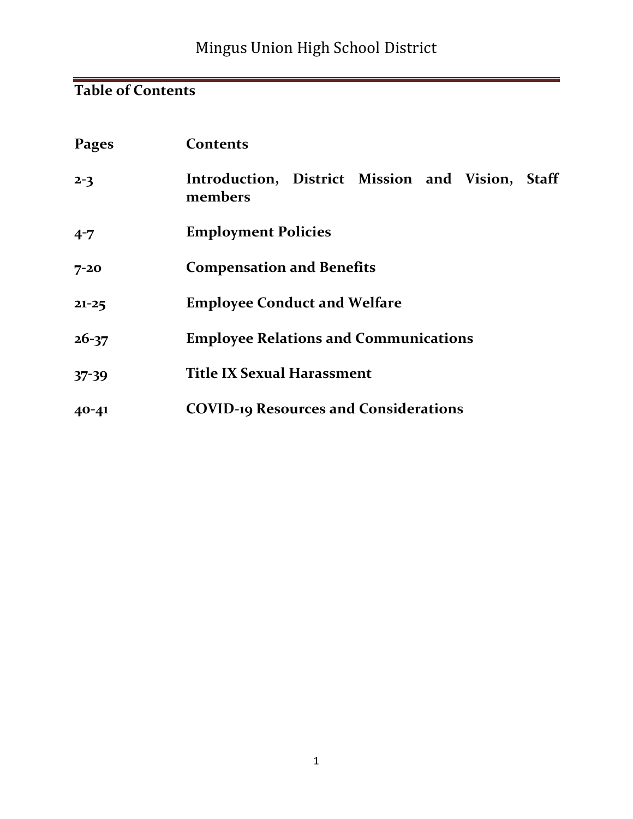# Mingus Union High School District

# **Table of Contents**

| Pages     | <b>Contents</b>                                             |  |  |
|-----------|-------------------------------------------------------------|--|--|
| $2 - 3$   | Introduction, District Mission and Vision, Staff<br>members |  |  |
| $4 - 7$   | <b>Employment Policies</b>                                  |  |  |
| $7 - 20$  | <b>Compensation and Benefits</b>                            |  |  |
| $21 - 25$ | <b>Employee Conduct and Welfare</b>                         |  |  |
| $26 - 37$ | <b>Employee Relations and Communications</b>                |  |  |
| $37 - 39$ | <b>Title IX Sexual Harassment</b>                           |  |  |
| $40 - 41$ | <b>COVID-19 Resources and Considerations</b>                |  |  |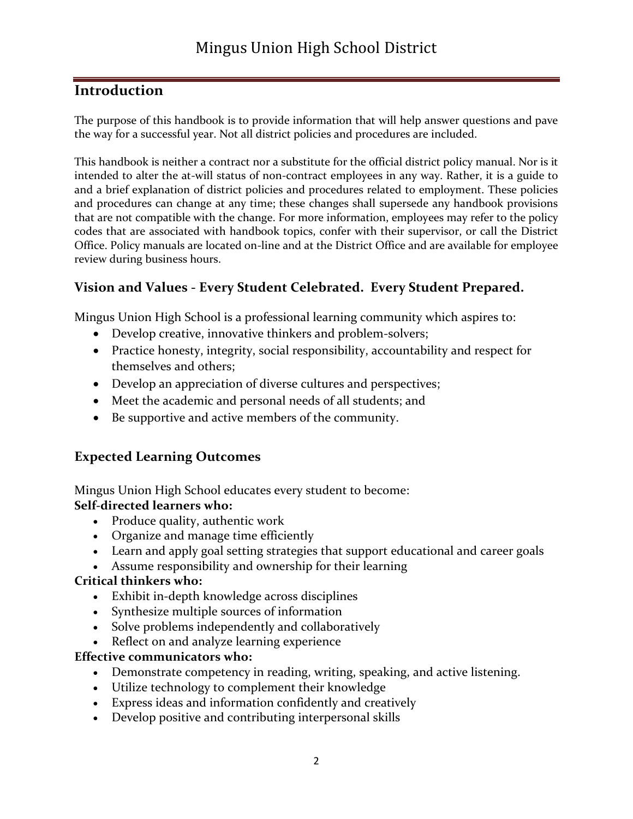## **Introduction**

The purpose of this handbook is to provide information that will help answer questions and pave the way for a successful year. Not all district policies and procedures are included.

This handbook is neither a contract nor a substitute for the official district policy manual. Nor is it intended to alter the at-will status of non-contract employees in any way. Rather, it is a guide to and a brief explanation of district policies and procedures related to employment. These policies and procedures can change at any time; these changes shall supersede any handbook provisions that are not compatible with the change. For more information, employees may refer to the policy codes that are associated with handbook topics, confer with their supervisor, or call the District Office. Policy manuals are located on-line and at the District Office and are available for employee review during business hours.

#### **Vision and Values - Every Student Celebrated. Every Student Prepared.**

Mingus Union High School is a professional learning community which aspires to:

- Develop creative, innovative thinkers and problem-solvers;
- Practice honesty, integrity, social responsibility, accountability and respect for themselves and others;
- Develop an appreciation of diverse cultures and perspectives;
- Meet the academic and personal needs of all students; and
- Be supportive and active members of the community.

## **Expected Learning Outcomes**

Mingus Union High School educates every student to become: **Self-directed learners who:**

- Produce quality, authentic work
- Organize and manage time efficiently
- Learn and apply goal setting strategies that support educational and career goals
- Assume responsibility and ownership for their learning

#### **Critical thinkers who:**

- Exhibit in-depth knowledge across disciplines
- Synthesize multiple sources of information
- Solve problems independently and collaboratively
- Reflect on and analyze learning experience

#### **Effective communicators who:**

- Demonstrate competency in reading, writing, speaking, and active listening.
- Utilize technology to complement their knowledge
- Express ideas and information confidently and creatively
- Develop positive and contributing interpersonal skills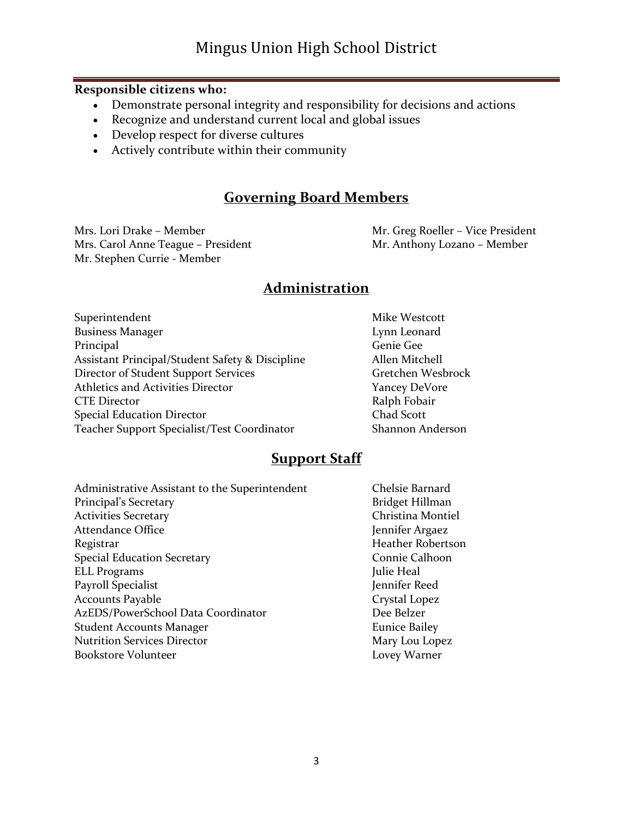#### **Responsible citizens who:**

- Demonstrate personal integrity and responsibility for decisions and actions
- Recognize and understand current local and global issues
- Develop respect for diverse cultures
- Actively contribute within their community

## **Governing Board Members**

Mrs. Lori Drake – Member Mr. Greg Roeller – Vice President Mrs. Carol Anne Teague – President Mr. Anthony Lozano – Member Mr. Stephen Currie - Member

#### **Administration**

| Superintendent                                  | Mike Westcott     |
|-------------------------------------------------|-------------------|
| <b>Business Manager</b>                         | Lynn Leonard      |
| Principal                                       | Genie Gee         |
| Assistant Principal/Student Safety & Discipline | Allen Mitchell    |
| Director of Student Support Services            | Gretchen Wesbrock |
| <b>Athletics and Activities Director</b>        | Yancey DeVore     |
| <b>CTE Director</b>                             | Ralph Fobair      |
| <b>Special Education Director</b>               | Chad Scott        |
| Teacher Support Specialist/Test Coordinator     | Shannon Anderson  |
|                                                 |                   |

#### **Support Staff**

Chelsie Barnard Bridget Hillman Christina Montiel Jennifer Argaez Heather Robertson Connie Calhoon Julie Heal Jennifer Reed Crystal Lopez Dee Belzer **Eunice Bailey** Mary Lou Lopez Lovey Warner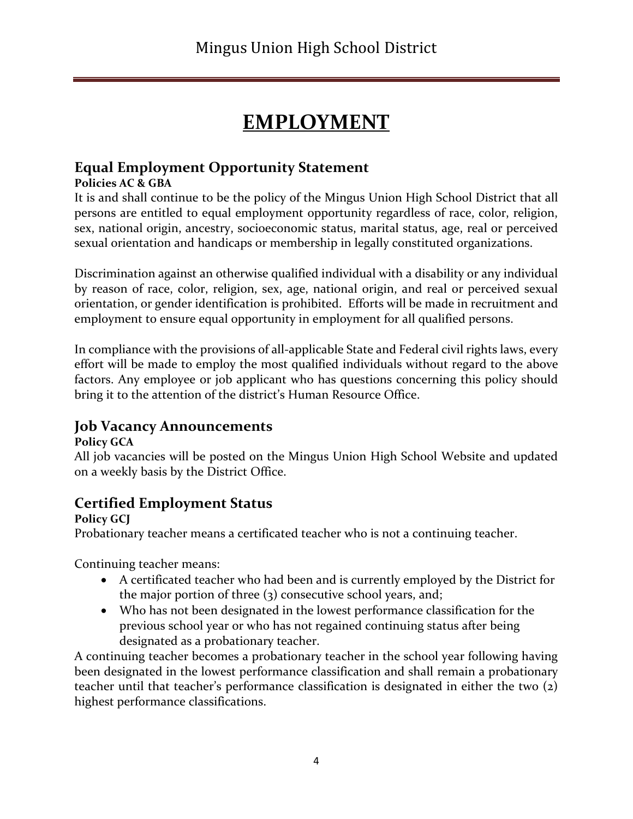# **EMPLOYMENT**

## **Equal Employment Opportunity Statement**

#### **Policies AC & GBA**

It is and shall continue to be the policy of the Mingus Union High School District that all persons are entitled to equal employment opportunity regardless of race, color, religion, sex, national origin, ancestry, socioeconomic status, marital status, age, real or perceived sexual orientation and handicaps or membership in legally constituted organizations.

Discrimination against an otherwise qualified individual with a disability or any individual by reason of race, color, religion, sex, age, national origin, and real or perceived sexual orientation, or gender identification is prohibited. Efforts will be made in recruitment and employment to ensure equal opportunity in employment for all qualified persons.

In compliance with the provisions of all-applicable State and Federal civil rights laws, every effort will be made to employ the most qualified individuals without regard to the above factors. Any employee or job applicant who has questions concerning this policy should bring it to the attention of the district's Human Resource Office.

## **Job Vacancy Announcements**

#### **Policy GCA**

All job vacancies will be posted on the Mingus Union High School Website and updated on a weekly basis by the District Office.

## **Certified Employment Status**

**Policy GCJ**

Probationary teacher means a certificated teacher who is not a continuing teacher.

Continuing teacher means:

- A certificated teacher who had been and is currently employed by the District for the major portion of three (3) consecutive school years, and;
- Who has not been designated in the lowest performance classification for the previous school year or who has not regained continuing status after being designated as a probationary teacher.

A continuing teacher becomes a probationary teacher in the school year following having been designated in the lowest performance classification and shall remain a probationary teacher until that teacher's performance classification is designated in either the two (2) highest performance classifications.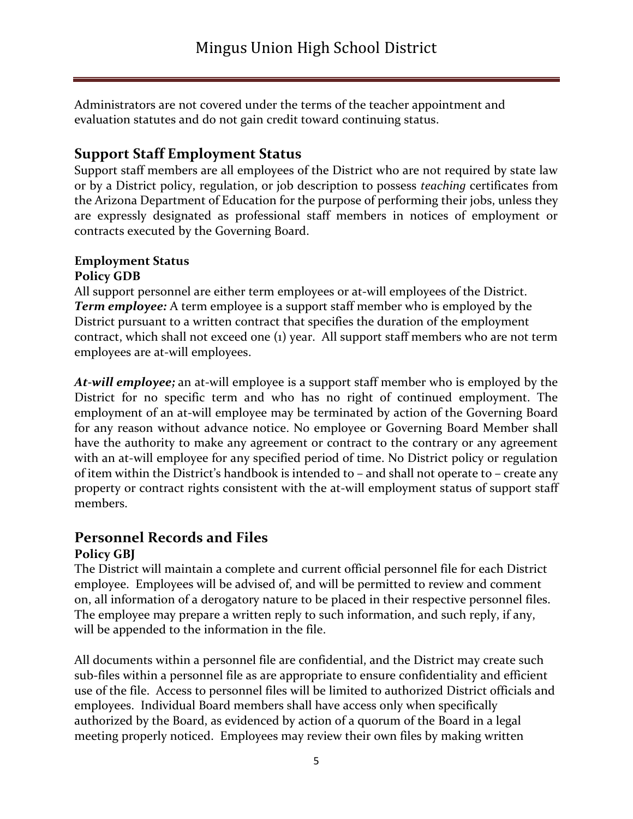Administrators are not covered under the terms of the teacher appointment and evaluation statutes and do not gain credit toward continuing status.

## **Support Staff Employment Status**

Support staff members are all employees of the District who are not required by state law or by a District policy, regulation, or job description to possess *teaching* certificates from the Arizona Department of Education for the purpose of performing their jobs, unless they are expressly designated as professional staff members in notices of employment or contracts executed by the Governing Board.

#### **Employment Status Policy GDB**

All support personnel are either term employees or at-will employees of the District. *Term employee:* A term employee is a support staff member who is employed by the District pursuant to a written contract that specifies the duration of the employment contract, which shall not exceed one (1) year. All support staff members who are not term employees are at-will employees.

*At-will employee;* an at-will employee is a support staff member who is employed by the District for no specific term and who has no right of continued employment. The employment of an at-will employee may be terminated by action of the Governing Board for any reason without advance notice. No employee or Governing Board Member shall have the authority to make any agreement or contract to the contrary or any agreement with an at-will employee for any specified period of time. No District policy or regulation of item within the District's handbook is intended to – and shall not operate to – create any property or contract rights consistent with the at-will employment status of support staff members.

## **Personnel Records and Files**

#### **Policy GBJ**

The District will maintain a complete and current official personnel file for each District employee. Employees will be advised of, and will be permitted to review and comment on, all information of a derogatory nature to be placed in their respective personnel files. The employee may prepare a written reply to such information, and such reply, if any, will be appended to the information in the file.

All documents within a personnel file are confidential, and the District may create such sub-files within a personnel file as are appropriate to ensure confidentiality and efficient use of the file. Access to personnel files will be limited to authorized District officials and employees. Individual Board members shall have access only when specifically authorized by the Board, as evidenced by action of a quorum of the Board in a legal meeting properly noticed. Employees may review their own files by making written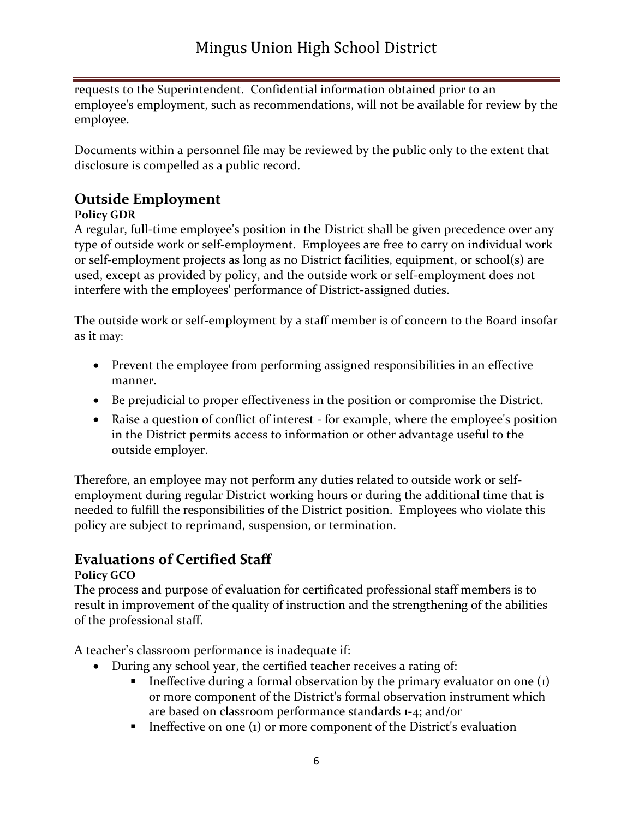requests to the Superintendent. Confidential information obtained prior to an employee's employment, such as recommendations, will not be available for review by the employee.

Documents within a personnel file may be reviewed by the public only to the extent that disclosure is compelled as a public record.

## **Outside Employment**

#### **Policy GDR**

A regular, full-time employee's position in the District shall be given precedence over any type of outside work or self-employment. Employees are free to carry on individual work or self-employment projects as long as no District facilities, equipment, or school(s) are used, except as provided by policy, and the outside work or self-employment does not interfere with the employees' performance of District-assigned duties.

The outside work or self-employment by a staff member is of concern to the Board insofar as it may:

- Prevent the employee from performing assigned responsibilities in an effective manner.
- Be prejudicial to proper effectiveness in the position or compromise the District.
- Raise a question of conflict of interest for example, where the employee's position in the District permits access to information or other advantage useful to the outside employer.

Therefore, an employee may not perform any duties related to outside work or selfemployment during regular District working hours or during the additional time that is needed to fulfill the responsibilities of the District position. Employees who violate this policy are subject to reprimand, suspension, or termination.

## **Evaluations of Certified Staff**

#### **Policy GCO**

The process and purpose of evaluation for certificated professional staff members is to result in improvement of the quality of instruction and the strengthening of the abilities of the professional staff.

A teacher's classroom performance is inadequate if:

- During any school year, the certified teacher receives a rating of:
	- **•** Ineffective during a formal observation by the primary evaluator on one  $(i)$ or more component of the District's formal observation instrument which are based on classroom performance standards 1-4; and/or
	- $\blacksquare$  Ineffective on one (1) or more component of the District's evaluation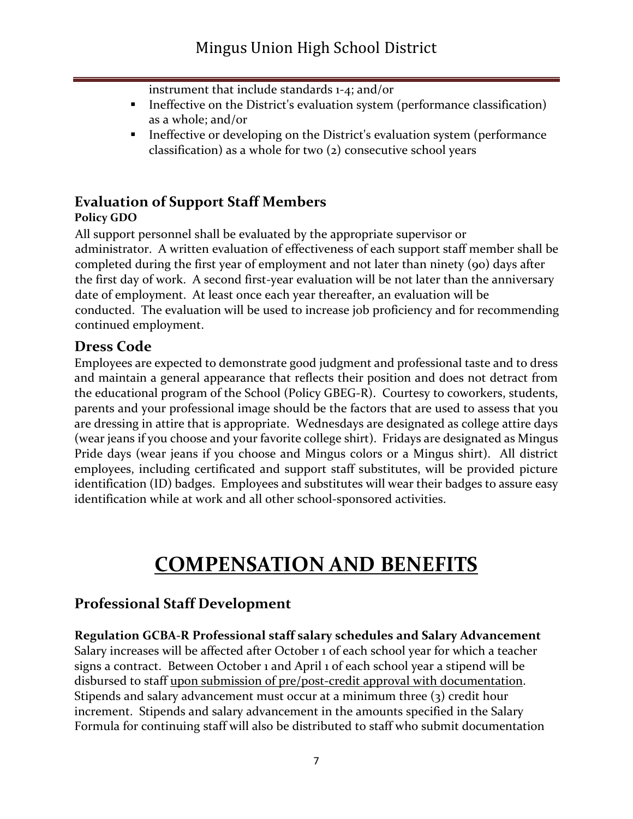instrument that include standards 1-4; and/or

- **•** Ineffective on the District's evaluation system (performance classification) as a whole; and/or
- **•** Ineffective or developing on the District's evaluation system (performance) classification) as a whole for two (2) consecutive school years

#### **Evaluation of Support Staff Members Policy GDO**

All support personnel shall be evaluated by the appropriate supervisor or administrator. A written evaluation of effectiveness of each support staff member shall be completed during the first year of employment and not later than ninety (90) days after the first day of work. A second first-year evaluation will be not later than the anniversary date of employment. At least once each year thereafter, an evaluation will be conducted. The evaluation will be used to increase job proficiency and for recommending continued employment.

## **Dress Code**

Employees are expected to demonstrate good judgment and professional taste and to dress and maintain a general appearance that reflects their position and does not detract from the educational program of the School (Policy GBEG-R). Courtesy to coworkers, students, parents and your professional image should be the factors that are used to assess that you are dressing in attire that is appropriate. Wednesdays are designated as college attire days (wear jeans if you choose and your favorite college shirt). Fridays are designated as Mingus Pride days (wear jeans if you choose and Mingus colors or a Mingus shirt). All district employees, including certificated and support staff substitutes, will be provided picture identification (ID) badges. Employees and substitutes will wear their badges to assure easy identification while at work and all other school-sponsored activities.

# **COMPENSATION AND BENEFITS**

## **Professional Staff Development**

**Regulation GCBA-R Professional staff salary schedules and Salary Advancement**  Salary increases will be affected after October 1 of each school year for which a teacher signs a contract. Between October 1 and April 1 of each school year a stipend will be disbursed to staff upon submission of pre/post-credit approval with documentation. Stipends and salary advancement must occur at a minimum three (3) credit hour increment. Stipends and salary advancement in the amounts specified in the Salary Formula for continuing staff will also be distributed to staff who submit documentation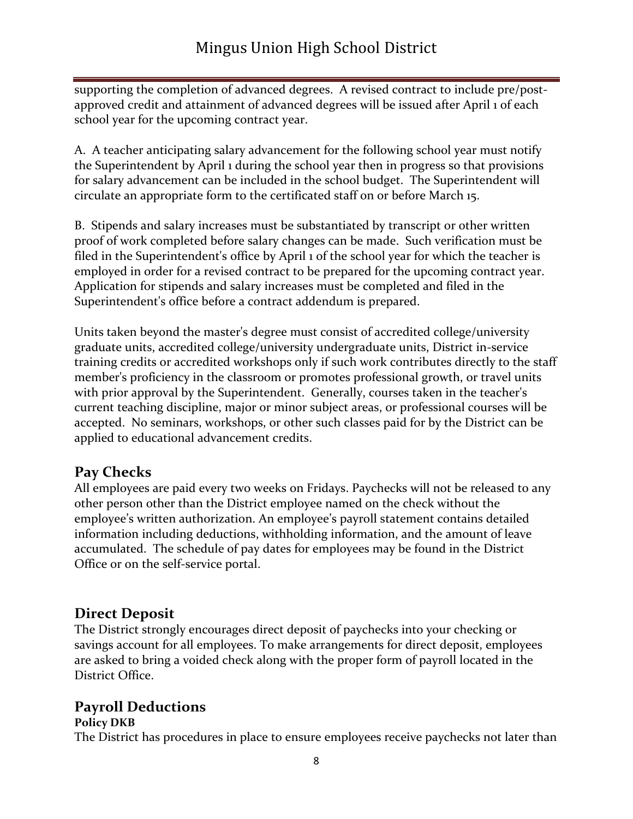supporting the completion of advanced degrees. A revised contract to include pre/postapproved credit and attainment of advanced degrees will be issued after April 1 of each school year for the upcoming contract year.

A. A teacher anticipating salary advancement for the following school year must notify the Superintendent by April 1 during the school year then in progress so that provisions for salary advancement can be included in the school budget. The Superintendent will circulate an appropriate form to the certificated staff on or before March 15.

B. Stipends and salary increases must be substantiated by transcript or other written proof of work completed before salary changes can be made. Such verification must be filed in the Superintendent's office by April 1 of the school year for which the teacher is employed in order for a revised contract to be prepared for the upcoming contract year. Application for stipends and salary increases must be completed and filed in the Superintendent's office before a contract addendum is prepared.

Units taken beyond the master's degree must consist of accredited college/university graduate units, accredited college/university undergraduate units, District in-service training credits or accredited workshops only if such work contributes directly to the staff member's proficiency in the classroom or promotes professional growth, or travel units with prior approval by the Superintendent. Generally, courses taken in the teacher's current teaching discipline, major or minor subject areas, or professional courses will be accepted. No seminars, workshops, or other such classes paid for by the District can be applied to educational advancement credits.

## **Pay Checks**

All employees are paid every two weeks on Fridays. Paychecks will not be released to any other person other than the District employee named on the check without the employee's written authorization. An employee's payroll statement contains detailed information including deductions, withholding information, and the amount of leave accumulated. The schedule of pay dates for employees may be found in the District Office or on the self-service portal.

## **Direct Deposit**

The District strongly encourages direct deposit of paychecks into your checking or savings account for all employees. To make arrangements for direct deposit, employees are asked to bring a voided check along with the proper form of payroll located in the District Office.

## **Payroll Deductions**

#### **Policy DKB**

The District has procedures in place to ensure employees receive paychecks not later than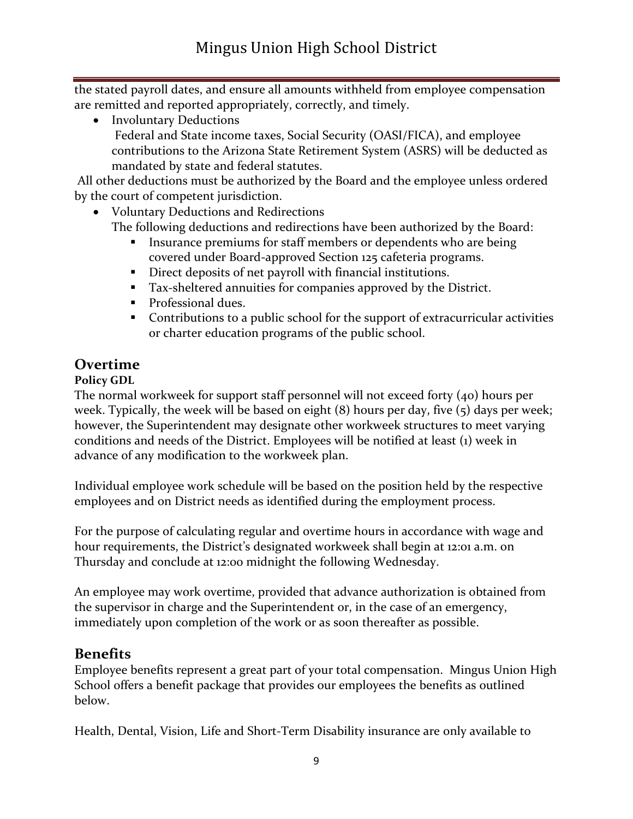the stated payroll dates, and ensure all amounts withheld from employee compensation are remitted and reported appropriately, correctly, and timely.

• Involuntary Deductions Federal and State income taxes, Social Security (OASI/FICA), and employee contributions to the Arizona State Retirement System (ASRS) will be deducted as mandated by state and federal statutes.

All other deductions must be authorized by the Board and the employee unless ordered by the court of competent jurisdiction.

- Voluntary Deductions and Redirections The following deductions and redirections have been authorized by the Board:
	- **Insurance premiums for staff members or dependents who are being** covered under Board-approved Section 125 cafeteria programs.
	- Direct deposits of net payroll with financial institutions.
	- Tax-sheltered annuities for companies approved by the District.
	- **•** Professional dues.
	- Contributions to a public school for the support of extracurricular activities or charter education programs of the public school.

## **Overtime**

#### **Policy GDL**

The normal workweek for support staff personnel will not exceed forty (40) hours per week. Typically, the week will be based on eight (8) hours per day, five (5) days per week; however, the Superintendent may designate other workweek structures to meet varying conditions and needs of the District. Employees will be notified at least (1) week in advance of any modification to the workweek plan.

Individual employee work schedule will be based on the position held by the respective employees and on District needs as identified during the employment process.

For the purpose of calculating regular and overtime hours in accordance with wage and hour requirements, the District's designated workweek shall begin at 12:01 a.m. on Thursday and conclude at 12:00 midnight the following Wednesday.

An employee may work overtime, provided that advance authorization is obtained from the supervisor in charge and the Superintendent or, in the case of an emergency, immediately upon completion of the work or as soon thereafter as possible.

## **Benefits**

Employee benefits represent a great part of your total compensation. Mingus Union High School offers a benefit package that provides our employees the benefits as outlined below.

Health, Dental, Vision, Life and Short-Term Disability insurance are only available to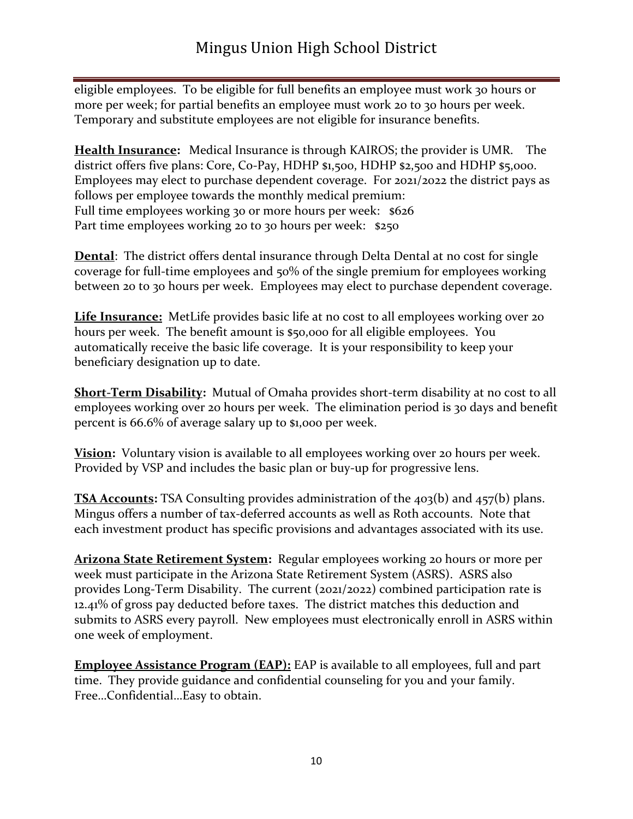eligible employees. To be eligible for full benefits an employee must work 30 hours or more per week; for partial benefits an employee must work 20 to 30 hours per week. Temporary and substitute employees are not eligible for insurance benefits.

**Health Insurance:** Medical Insurance is through KAIROS; the provider is UMR. The district offers five plans: Core, Co-Pay, HDHP \$1,500, HDHP \$2,500 and HDHP \$5,000. Employees may elect to purchase dependent coverage. For 2021/2022 the district pays as follows per employee towards the monthly medical premium: Full time employees working 30 or more hours per week: \$626 Part time employees working 20 to 30 hours per week: \$250

**Dental**: The district offers dental insurance through Delta Dental at no cost for single coverage for full-time employees and 50% of the single premium for employees working between 20 to 30 hours per week. Employees may elect to purchase dependent coverage.

**Life Insurance:** MetLife provides basic life at no cost to all employees working over 20 hours per week. The benefit amount is \$50,000 for all eligible employees. You automatically receive the basic life coverage. It is your responsibility to keep your beneficiary designation up to date.

**Short-Term Disability:** Mutual of Omaha provides short-term disability at no cost to all employees working over 20 hours per week. The elimination period is 30 days and benefit percent is 66.6% of average salary up to \$1,000 per week.

**Vision:** Voluntary vision is available to all employees working over 20 hours per week. Provided by VSP and includes the basic plan or buy-up for progressive lens.

**TSA Accounts:** TSA Consulting provides administration of the 403(b) and 457(b) plans. Mingus offers a number of tax-deferred accounts as well as Roth accounts. Note that each investment product has specific provisions and advantages associated with its use.

**Arizona State Retirement System:** Regular employees working 20 hours or more per week must participate in the Arizona State Retirement System (ASRS). ASRS also provides Long-Term Disability. The current (2021/2022) combined participation rate is 12.41% of gross pay deducted before taxes. The district matches this deduction and submits to ASRS every payroll. New employees must electronically enroll in ASRS within one week of employment.

**Employee Assistance Program (EAP):** EAP is available to all employees, full and part time.They provide guidance and confidential counseling for you and your family. Free…Confidential…Easy to obtain.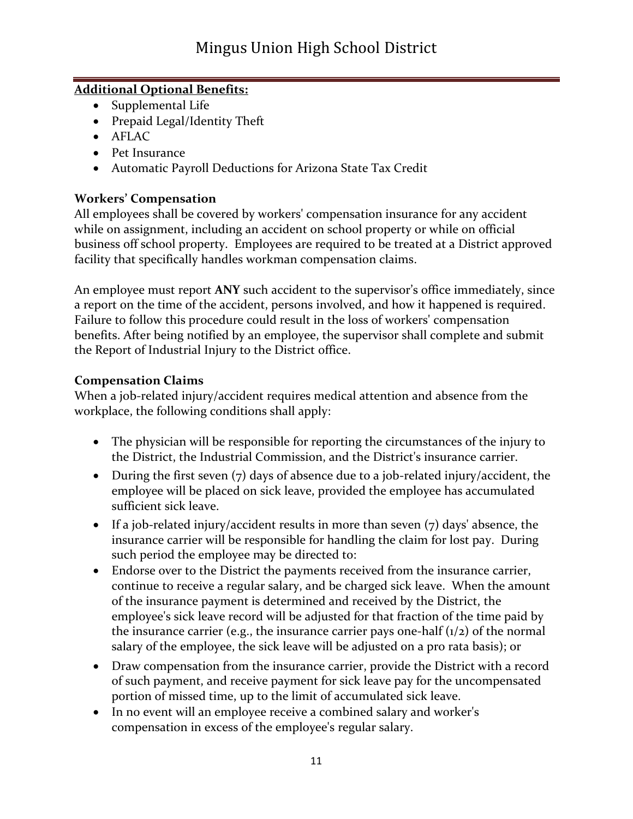#### **Additional Optional Benefits:**

- Supplemental Life
- Prepaid Legal/Identity Theft
- AFLAC
- Pet Insurance
- Automatic Payroll Deductions for Arizona State Tax Credit

#### **Workers' Compensation**

All employees shall be covered by workers' compensation insurance for any accident while on assignment, including an accident on school property or while on official business off school property. Employees are required to be treated at a District approved facility that specifically handles workman compensation claims.

An employee must report **ANY** such accident to the supervisor's office immediately, since a report on the time of the accident, persons involved, and how it happened is required. Failure to follow this procedure could result in the loss of workers' compensation benefits. After being notified by an employee, the supervisor shall complete and submit the Report of Industrial Injury to the District office.

#### **Compensation Claims**

When a job-related injury/accident requires medical attention and absence from the workplace, the following conditions shall apply:

- The physician will be responsible for reporting the circumstances of the injury to the District, the Industrial Commission, and the District's insurance carrier.
- During the first seven (7) days of absence due to a job-related injury/accident, the employee will be placed on sick leave, provided the employee has accumulated sufficient sick leave.
- If a job-related injury/accident results in more than seven  $(7)$  days' absence, the insurance carrier will be responsible for handling the claim for lost pay. During such period the employee may be directed to:
- Endorse over to the District the payments received from the insurance carrier, continue to receive a regular salary, and be charged sick leave. When the amount of the insurance payment is determined and received by the District, the employee's sick leave record will be adjusted for that fraction of the time paid by the insurance carrier (e.g., the insurance carrier pays one-half  $(1/2)$  of the normal salary of the employee, the sick leave will be adjusted on a pro rata basis); or
- Draw compensation from the insurance carrier, provide the District with a record of such payment, and receive payment for sick leave pay for the uncompensated portion of missed time, up to the limit of accumulated sick leave.
- In no event will an employee receive a combined salary and worker's compensation in excess of the employee's regular salary.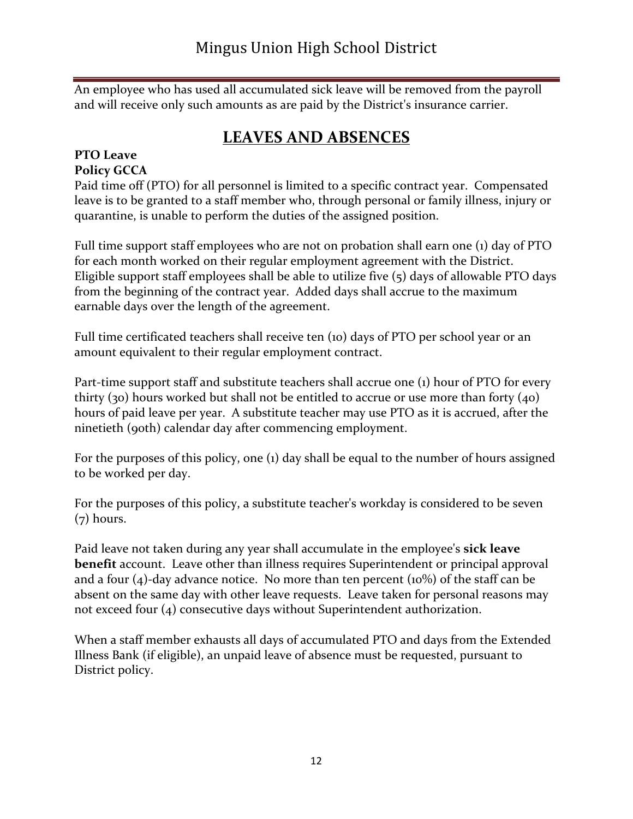An employee who has used all accumulated sick leave will be removed from the payroll and will receive only such amounts as are paid by the District's insurance carrier.

## **LEAVES AND ABSENCES**

# **PTO Leave**

#### **Policy GCCA**

Paid time off (PTO) for all personnel is limited to a specific contract year. Compensated leave is to be granted to a staff member who, through personal or family illness, injury or quarantine, is unable to perform the duties of the assigned position.

Full time support staff employees who are not on probation shall earn one (1) day of PTO for each month worked on their regular employment agreement with the District. Eligible support staff employees shall be able to utilize five (5) days of allowable PTO days from the beginning of the contract year. Added days shall accrue to the maximum earnable days over the length of the agreement.

Full time certificated teachers shall receive ten (10) days of PTO per school year or an amount equivalent to their regular employment contract.

Part-time support staff and substitute teachers shall accrue one (1) hour of PTO for every thirty (30) hours worked but shall not be entitled to accrue or use more than forty (40) hours of paid leave per year. A substitute teacher may use PTO as it is accrued, after the ninetieth (90th) calendar day after commencing employment.

For the purposes of this policy, one (1) day shall be equal to the number of hours assigned to be worked per day.

For the purposes of this policy, a substitute teacher's workday is considered to be seven  $(7)$  hours.

Paid leave not taken during any year shall accumulate in the employee's **sick leave benefit** account. Leave other than illness requires Superintendent or principal approval and a four (4)-day advance notice. No more than ten percent (10%) of the staff can be absent on the same day with other leave requests. Leave taken for personal reasons may not exceed four (4) consecutive days without Superintendent authorization.

When a staff member exhausts all days of accumulated PTO and days from the Extended Illness Bank (if eligible), an unpaid leave of absence must be requested, pursuant to District policy.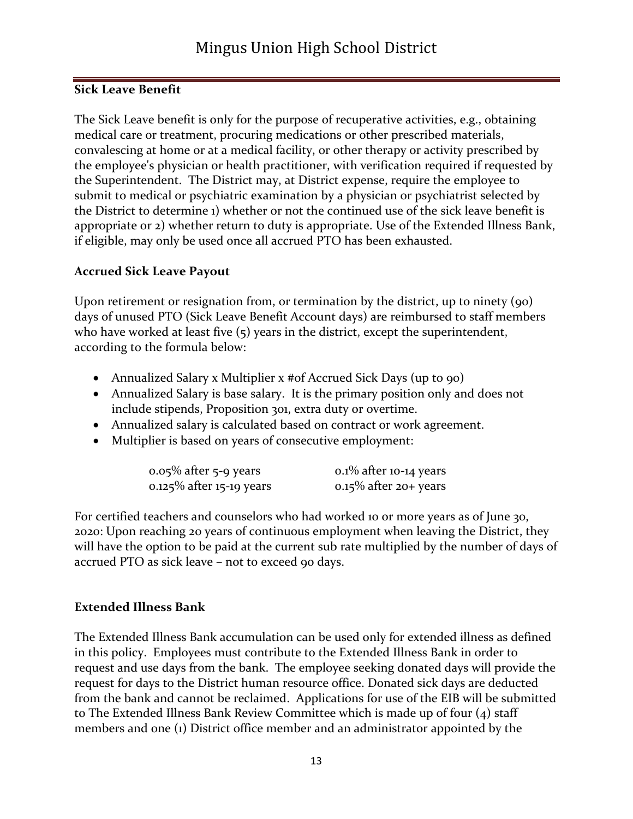#### **Sick Leave Benefit**

The Sick Leave benefit is only for the purpose of recuperative activities, e.g., obtaining medical care or treatment, procuring medications or other prescribed materials, convalescing at home or at a medical facility, or other therapy or activity prescribed by the employee's physician or health practitioner, with verification required if requested by the Superintendent. The District may, at District expense, require the employee to submit to medical or psychiatric examination by a physician or psychiatrist selected by the District to determine 1) whether or not the continued use of the sick leave benefit is appropriate or 2) whether return to duty is appropriate. Use of the Extended Illness Bank, if eligible, may only be used once all accrued PTO has been exhausted.

#### **Accrued Sick Leave Payout**

Upon retirement or resignation from, or termination by the district, up to ninety (90) days of unused PTO (Sick Leave Benefit Account days) are reimbursed to staff members who have worked at least five (5) years in the district, except the superintendent, according to the formula below:

- Annualized Salary x Multiplier x #of Accrued Sick Days (up to 90)
- Annualized Salary is base salary. It is the primary position only and does not include stipends, Proposition 301, extra duty or overtime.
- Annualized salary is calculated based on contract or work agreement.
- Multiplier is based on years of consecutive employment:

| $0.05\%$ after 5-9 years | $0.1\%$ after 10-14 years |
|--------------------------|---------------------------|
| 0.125% after 15-19 years | $0.15\%$ after 20+ years  |

For certified teachers and counselors who had worked 10 or more years as of June 30, 2020: Upon reaching 20 years of continuous employment when leaving the District, they will have the option to be paid at the current sub rate multiplied by the number of days of accrued PTO as sick leave – not to exceed 90 days.

#### **Extended Illness Bank**

The Extended Illness Bank accumulation can be used only for extended illness as defined in this policy. Employees must contribute to the Extended Illness Bank in order to request and use days from the bank. The employee seeking donated days will provide the request for days to the District human resource office. Donated sick days are deducted from the bank and cannot be reclaimed. Applications for use of the EIB will be submitted to The Extended Illness Bank Review Committee which is made up of four (4) staff members and one (1) District office member and an administrator appointed by the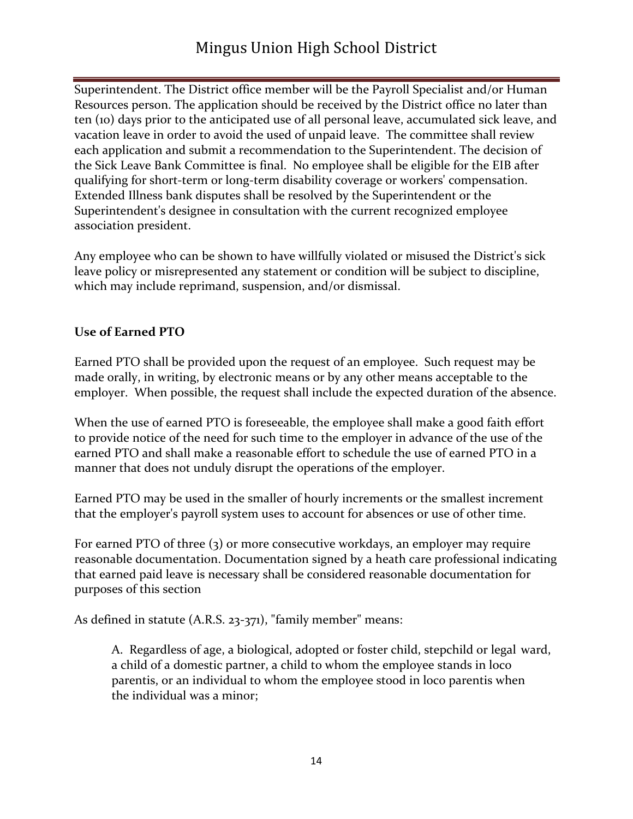## Mingus Union High School District

Superintendent. The District office member will be the Payroll Specialist and/or Human Resources person. The application should be received by the District office no later than ten (10) days prior to the anticipated use of all personal leave, accumulated sick leave, and vacation leave in order to avoid the used of unpaid leave. The committee shall review each application and submit a recommendation to the Superintendent. The decision of the Sick Leave Bank Committee is final. No employee shall be eligible for the EIB after qualifying for short-term or long-term disability coverage or workers' compensation. Extended Illness bank disputes shall be resolved by the Superintendent or the Superintendent's designee in consultation with the current recognized employee association president.

Any employee who can be shown to have willfully violated or misused the District's sick leave policy or misrepresented any statement or condition will be subject to discipline, which may include reprimand, suspension, and/or dismissal.

#### **Use of Earned PTO**

Earned PTO shall be provided upon the request of an employee. Such request may be made orally, in writing, by electronic means or by any other means acceptable to the employer. When possible, the request shall include the expected duration of the absence.

When the use of earned PTO is foreseeable, the employee shall make a good faith effort to provide notice of the need for such time to the employer in advance of the use of the earned PTO and shall make a reasonable effort to schedule the use of earned PTO in a manner that does not unduly disrupt the operations of the employer.

Earned PTO may be used in the smaller of hourly increments or the smallest increment that the employer's payroll system uses to account for absences or use of other time.

For earned PTO of three (3) or more consecutive workdays, an employer may require reasonable documentation. Documentation signed by a heath care professional indicating that earned paid leave is necessary shall be considered reasonable documentation for purposes of this section

As defined in statute (A.R.S. 23-371), "family member" means:

A. Regardless of age, a biological, adopted or foster child, stepchild or legal ward, a child of a domestic partner, a child to whom the employee stands in loco parentis, or an individual to whom the employee stood in loco parentis when the individual was a minor;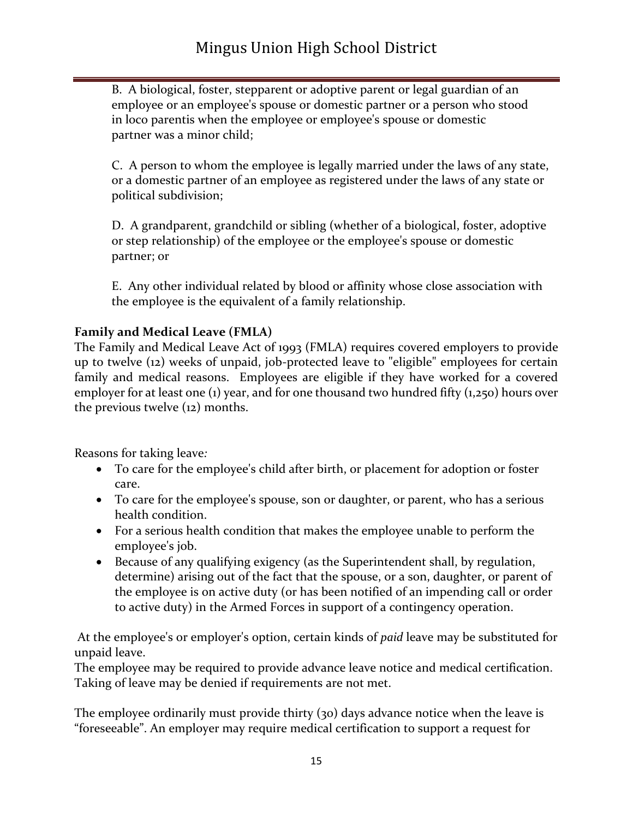B. A biological, foster, stepparent or adoptive parent or legal guardian of an employee or an employee's spouse or domestic partner or a person who stood in loco parentis when the employee or employee's spouse or domestic partner was a minor child;

C. A person to whom the employee is legally married under the laws of any state, or a domestic partner of an employee as registered under the laws of any state or political subdivision;

D. A grandparent, grandchild or sibling (whether of a biological, foster, adoptive or step relationship) of the employee or the employee's spouse or domestic partner; or

E. Any other individual related by blood or affinity whose close association with the employee is the equivalent of a family relationship.

#### **Family and Medical Leave (FMLA)**

The Family and Medical Leave Act of 1993 (FMLA) requires covered employers to provide up to twelve (12) weeks of unpaid, job-protected leave to "eligible" employees for certain family and medical reasons. Employees are eligible if they have worked for a covered employer for at least one (1) year, and for one thousand two hundred fifty (1,250) hours over the previous twelve (12) months.

Reasons for taking leave*:*

- To care for the employee's child after birth, or placement for adoption or foster care.
- To care for the employee's spouse, son or daughter, or parent, who has a serious health condition.
- For a serious health condition that makes the employee unable to perform the employee's job.
- Because of any qualifying exigency (as the Superintendent shall, by regulation, determine) arising out of the fact that the spouse, or a son, daughter, or parent of the employee is on active duty (or has been notified of an impending call or order to active duty) in the Armed Forces in support of a contingency operation.

At the employee's or employer's option, certain kinds of *paid* leave may be substituted for unpaid leave.

The employee may be required to provide advance leave notice and medical certification. Taking of leave may be denied if requirements are not met.

The employee ordinarily must provide thirty (30) days advance notice when the leave is "foreseeable". An employer may require medical certification to support a request for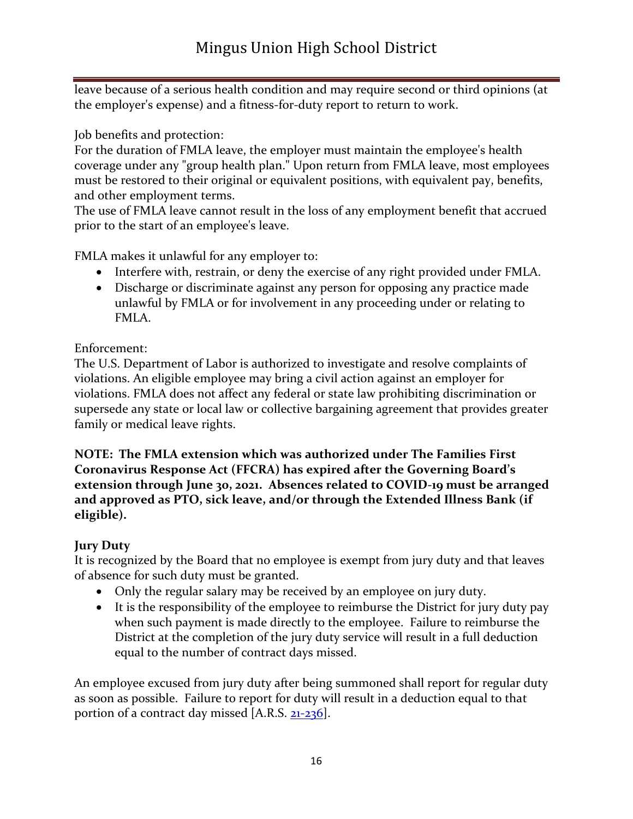leave because of a serious health condition and may require second or third opinions (at the employer's expense) and a fitness-for-duty report to return to work.

Job benefits and protection:

For the duration of FMLA leave, the employer must maintain the employee's health coverage under any "group health plan." Upon return from FMLA leave, most employees must be restored to their original or equivalent positions, with equivalent pay, benefits, and other employment terms.

The use of FMLA leave cannot result in the loss of any employment benefit that accrued prior to the start of an employee's leave.

FMLA makes it unlawful for any employer to:

- Interfere with, restrain, or deny the exercise of any right provided under FMLA.
- Discharge or discriminate against any person for opposing any practice made unlawful by FMLA or for involvement in any proceeding under or relating to FMLA.

#### Enforcement:

The U.S. Department of Labor is authorized to investigate and resolve complaints of violations. An eligible employee may bring a civil action against an employer for violations. FMLA does not affect any federal or state law prohibiting discrimination or supersede any state or local law or collective bargaining agreement that provides greater family or medical leave rights.

**NOTE: The FMLA extension which was authorized under The Families First Coronavirus Response Act (FFCRA) has expired after the Governing Board's extension through June 30, 2021. Absences related to COVID-19 must be arranged and approved as PTO, sick leave, and/or through the Extended Illness Bank (if eligible).** 

#### **Jury Duty**

It is recognized by the Board that no employee is exempt from jury duty and that leaves of absence for such duty must be granted.

- Only the regular salary may be received by an employee on jury duty.
- It is the responsibility of the employee to reimburse the District for jury duty pay when such payment is made directly to the employee. Failure to reimburse the District at the completion of the jury duty service will result in a full deduction equal to the number of contract days missed.

An employee excused from jury duty after being summoned shall report for regular duty as soon as possible. Failure to report for duty will result in a deduction equal to that portion of a contract day missed [A.R.S. [21-236\]](http://lp.ctspublish.com/asba/public/lpext.dll?f=FifLink&t=document-frame.htm&l=jump&iid=PRM.nfo&d=21-236&sid=14922a29.538a7e67.0.0#JD_21-236).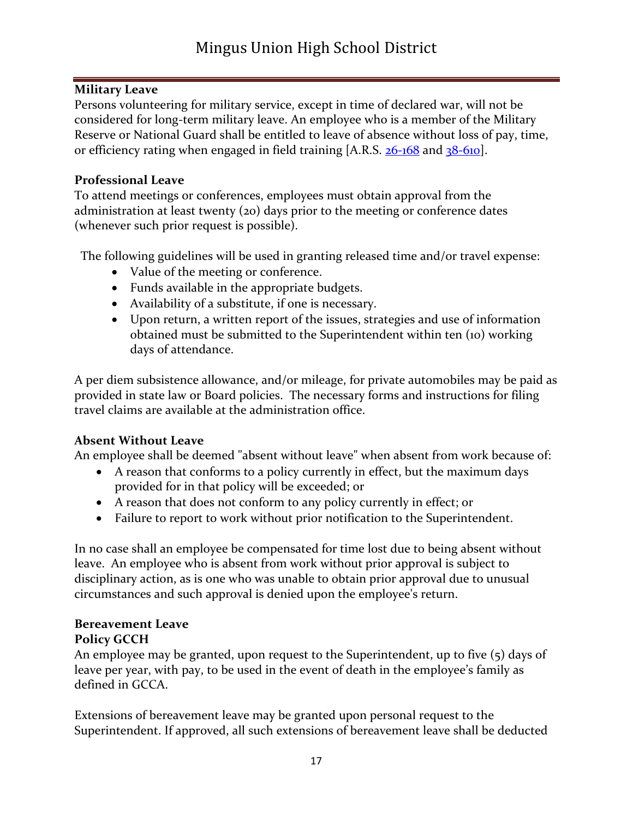#### **Military Leave**

Persons volunteering for military service, except in time of declared war, will not be considered for long-term military leave. An employee who is a member of the Military Reserve or National Guard shall be entitled to leave of absence without loss of pay, time, or efficiency rating when engaged in field training [A.R.S. [26-168](http://lp.ctspublish.com/asba/public/lpext.dll?f=FifLink&t=document-frame.htm&l=jump&iid=PRM.nfo&d=26-168&sid=14922a29.538a7e67.0.0#JD_26-168) and [38-610\]](http://lp.ctspublish.com/asba/public/lpext.dll?f=FifLink&t=document-frame.htm&l=jump&iid=PRM.nfo&d=38-610&sid=14922a29.538a7e67.0.0#JD_38-610).

#### **Professional Leave**

To attend meetings or conferences, employees must obtain approval from the administration at least twenty (20) days prior to the meeting or conference dates (whenever such prior request is possible).

The following guidelines will be used in granting released time and/or travel expense:

- Value of the meeting or conference.
- Funds available in the appropriate budgets.
- Availability of a substitute, if one is necessary.
- Upon return, a written report of the issues, strategies and use of information obtained must be submitted to the Superintendent within ten (10) working days of attendance.

A per diem subsistence allowance, and/or mileage, for private automobiles may be paid as provided in state law or Board policies. The necessary forms and instructions for filing travel claims are available at the administration office.

#### **Absent Without Leave**

An employee shall be deemed "absent without leave" when absent from work because of:

- A reason that conforms to a policy currently in effect, but the maximum days provided for in that policy will be exceeded; or
- A reason that does not conform to any policy currently in effect; or
- Failure to report to work without prior notification to the Superintendent.

In no case shall an employee be compensated for time lost due to being absent without leave. An employee who is absent from work without prior approval is subject to disciplinary action, as is one who was unable to obtain prior approval due to unusual circumstances and such approval is denied upon the employee's return.

#### **Bereavement Leave**

#### **Policy GCCH**

An employee may be granted, upon request to the Superintendent, up to five (5) days of leave per year, with pay, to be used in the event of death in the employee's family as defined in GCCA.

Extensions of bereavement leave may be granted upon personal request to the Superintendent. If approved, all such extensions of bereavement leave shall be deducted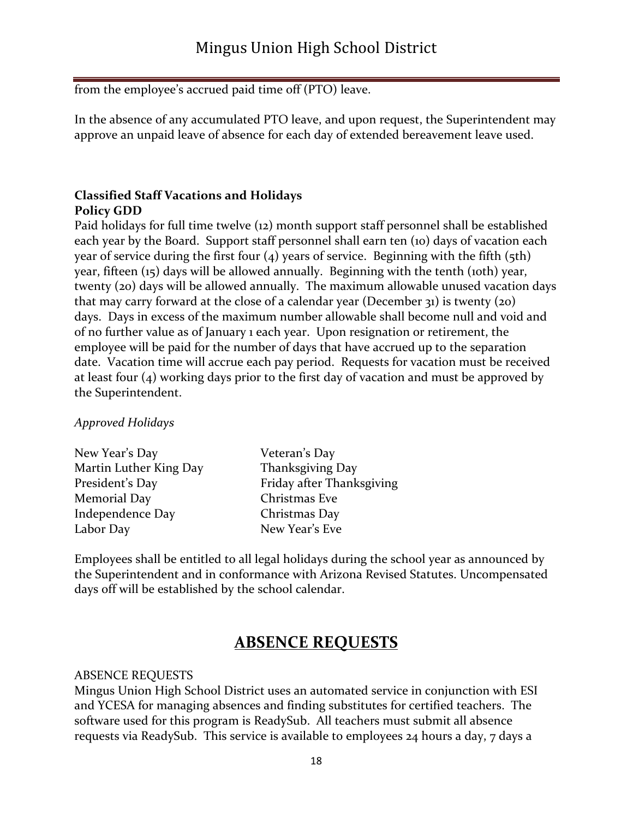from the employee's accrued paid time off (PTO) leave.

In the absence of any accumulated PTO leave, and upon request, the Superintendent may approve an unpaid leave of absence for each day of extended bereavement leave used.

#### **Classified Staff Vacations and Holidays Policy GDD**

Paid holidays for full time twelve (12) month support staff personnel shall be established each year by the Board. Support staff personnel shall earn ten (10) days of vacation each year of service during the first four  $(4)$  years of service. Beginning with the fifth  $(5th)$ year, fifteen (15) days will be allowed annually. Beginning with the tenth (10th) year, twenty (20) days will be allowed annually. The maximum allowable unused vacation days that may carry forward at the close of a calendar year (December 31) is twenty (20) days. Days in excess of the maximum number allowable shall become null and void and of no further value as of January 1 each year. Upon resignation or retirement, the employee will be paid for the number of days that have accrued up to the separation date. Vacation time will accrue each pay period. Requests for vacation must be received at least four (4) working days prior to the first day of vacation and must be approved by the Superintendent.

#### *Approved Holidays*

| New Year's Day         | Veteran's Day             |
|------------------------|---------------------------|
| Martin Luther King Day | Thanksgiving Day          |
| President's Day        | Friday after Thanksgiving |
| Memorial Day           | Christmas Eve             |
| Independence Day       | Christmas Day             |
| Labor Day              | New Year's Eve            |
|                        |                           |

Employees shall be entitled to all legal holidays during the school year as announced by the Superintendent and in conformance with Arizona Revised Statutes. Uncompensated days off will be established by the school calendar.

## **ABSENCE REQUESTS**

#### ABSENCE REQUESTS

Mingus Union High School District uses an automated service in conjunction with ESI and YCESA for managing absences and finding substitutes for certified teachers. The software used for this program is ReadySub. All teachers must submit all absence requests via ReadySub. This service is available to employees 24 hours a day, 7 days a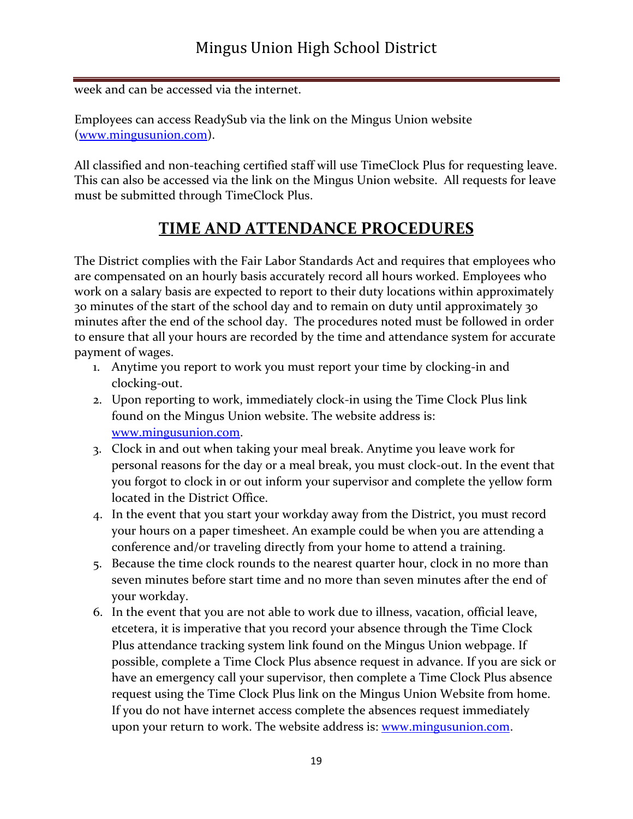week and can be accessed via the internet.

Employees can access ReadySub via the link on the Mingus Union website [\(www.mingusunion.com\)](http://www.mingusunion.com/).

All classified and non-teaching certified staff will use TimeClock Plus for requesting leave. This can also be accessed via the link on the Mingus Union website. All requests for leave must be submitted through TimeClock Plus.

## **TIME AND ATTENDANCE PROCEDURES**

The District complies with the Fair Labor Standards Act and requires that employees who are compensated on an hourly basis accurately record all hours worked. Employees who work on a salary basis are expected to report to their duty locations within approximately 30 minutes of the start of the school day and to remain on duty until approximately 30 minutes after the end of the school day. The procedures noted must be followed in order to ensure that all your hours are recorded by the time and attendance system for accurate payment of wages.

- 1. Anytime you report to work you must report your time by clocking-in and clocking-out.
- 2. Upon reporting to work, immediately clock-in using the Time Clock Plus link found on the Mingus Union website. The website address is: [www.mingusunion.com.](http://www.mingusunion.com/)
- 3. Clock in and out when taking your meal break. Anytime you leave work for personal reasons for the day or a meal break, you must clock-out. In the event that you forgot to clock in or out inform your supervisor and complete the yellow form located in the District Office.
- 4. In the event that you start your workday away from the District, you must record your hours on a paper timesheet. An example could be when you are attending a conference and/or traveling directly from your home to attend a training.
- 5. Because the time clock rounds to the nearest quarter hour, clock in no more than seven minutes before start time and no more than seven minutes after the end of your workday.
- 6. In the event that you are not able to work due to illness, vacation, official leave, etcetera, it is imperative that you record your absence through the Time Clock Plus attendance tracking system link found on the Mingus Union webpage. If possible, complete a Time Clock Plus absence request in advance. If you are sick or have an emergency call your supervisor, then complete a Time Clock Plus absence request using the Time Clock Plus link on the Mingus Union Website from home. If you do not have internet access complete the absences request immediately upon your return to work. The website address is: <u>www.mingusunion.com</u>.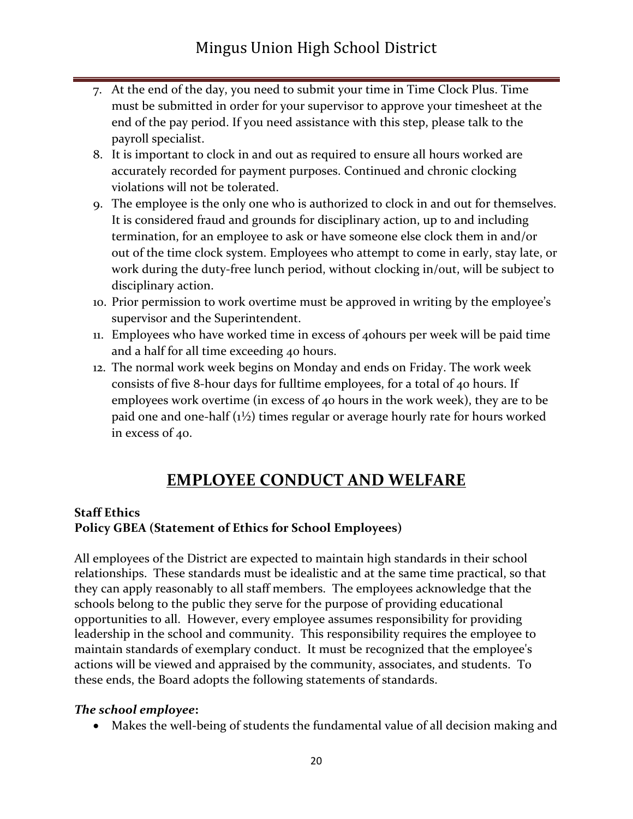- 7. At the end of the day, you need to submit your time in Time Clock Plus. Time must be submitted in order for your supervisor to approve your timesheet at the end of the pay period. If you need assistance with this step, please talk to the payroll specialist.
- 8. It is important to clock in and out as required to ensure all hours worked are accurately recorded for payment purposes. Continued and chronic clocking violations will not be tolerated.
- 9. The employee is the only one who is authorized to clock in and out for themselves. It is considered fraud and grounds for disciplinary action, up to and including termination, for an employee to ask or have someone else clock them in and/or out of the time clock system. Employees who attempt to come in early, stay late, or work during the duty-free lunch period, without clocking in/out, will be subject to disciplinary action.
- 10. Prior permission to work overtime must be approved in writing by the employee's supervisor and the Superintendent.
- 11. Employees who have worked time in excess of 40hours per week will be paid time and a half for all time exceeding 40 hours.
- 12. The normal work week begins on Monday and ends on Friday. The work week consists of five 8-hour days for fulltime employees, for a total of 40 hours. If employees work overtime (in excess of 40 hours in the work week), they are to be paid one and one-half (1½) times regular or average hourly rate for hours worked in excess of 40.

## **EMPLOYEE CONDUCT AND WELFARE**

#### **Staff Ethics**

#### **Policy GBEA (Statement of Ethics for School Employees)**

All employees of the District are expected to maintain high standards in their school relationships. These standards must be idealistic and at the same time practical, so that they can apply reasonably to all staff members. The employees acknowledge that the schools belong to the public they serve for the purpose of providing educational opportunities to all. However, every employee assumes responsibility for providing leadership in the school and community. This responsibility requires the employee to maintain standards of exemplary conduct. It must be recognized that the employee's actions will be viewed and appraised by the community, associates, and students. To these ends, the Board adopts the following statements of standards.

#### *The school employee***:**

• Makes the well-being of students the fundamental value of all decision making and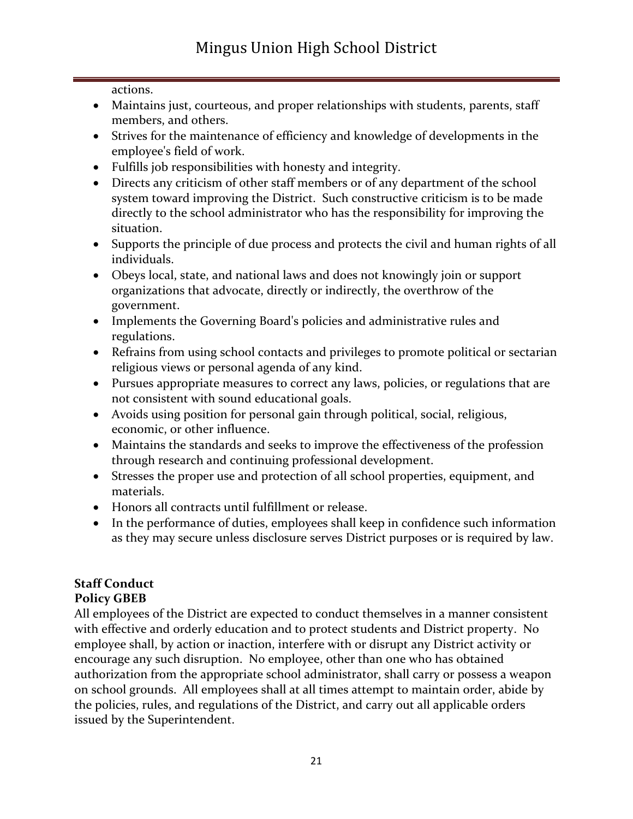actions.

- Maintains just, courteous, and proper relationships with students, parents, staff members, and others.
- Strives for the maintenance of efficiency and knowledge of developments in the employee's field of work.
- Fulfills job responsibilities with honesty and integrity.
- Directs any criticism of other staff members or of any department of the school system toward improving the District. Such constructive criticism is to be made directly to the school administrator who has the responsibility for improving the situation.
- Supports the principle of due process and protects the civil and human rights of all individuals.
- Obeys local, state, and national laws and does not knowingly join or support organizations that advocate, directly or indirectly, the overthrow of the government.
- Implements the Governing Board's policies and administrative rules and regulations.
- Refrains from using school contacts and privileges to promote political or sectarian religious views or personal agenda of any kind.
- Pursues appropriate measures to correct any laws, policies, or regulations that are not consistent with sound educational goals.
- Avoids using position for personal gain through political, social, religious, economic, or other influence.
- Maintains the standards and seeks to improve the effectiveness of the profession through research and continuing professional development.
- Stresses the proper use and protection of all school properties, equipment, and materials.
- Honors all contracts until fulfillment or release.
- In the performance of duties, employees shall keep in confidence such information as they may secure unless disclosure serves District purposes or is required by law.

#### **Staff Conduct Policy GBEB**

All employees of the District are expected to conduct themselves in a manner consistent with effective and orderly education and to protect students and District property. No employee shall, by action or inaction, interfere with or disrupt any District activity or encourage any such disruption. No employee, other than one who has obtained authorization from the appropriate school administrator, shall carry or possess a weapon on school grounds. All employees shall at all times attempt to maintain order, abide by the policies, rules, and regulations of the District, and carry out all applicable orders issued by the Superintendent.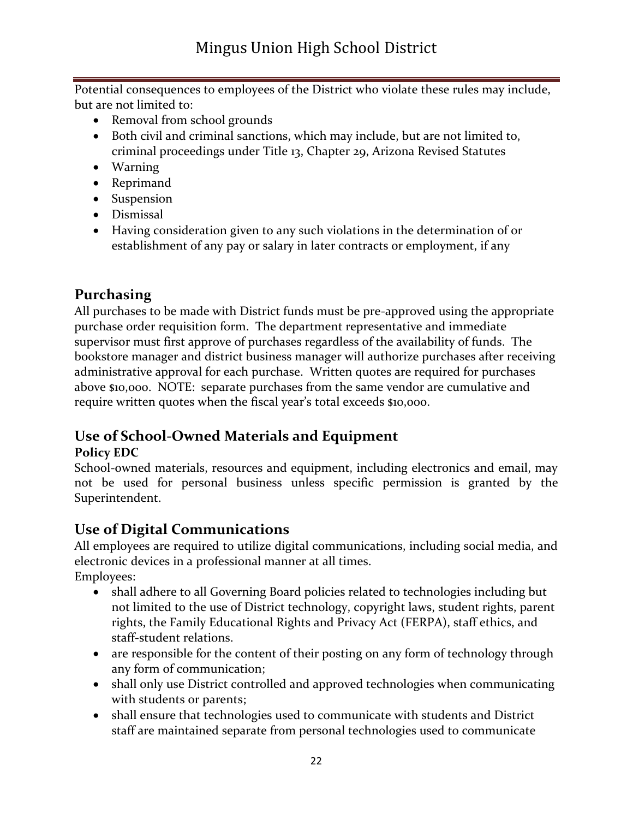Potential consequences to employees of the District who violate these rules may include, but are not limited to:

- Removal from school grounds
- Both civil and criminal sanctions, which may include, but are not limited to, criminal proceedings under Title 13, Chapter 29, Arizona Revised Statutes
- Warning
- Reprimand
- Suspension
- Dismissal
- Having consideration given to any such violations in the determination of or establishment of any pay or salary in later contracts or employment, if any

## **Purchasing**

All purchases to be made with District funds must be pre-approved using the appropriate purchase order requisition form. The department representative and immediate supervisor must first approve of purchases regardless of the availability of funds. The bookstore manager and district business manager will authorize purchases after receiving administrative approval for each purchase. Written quotes are required for purchases above \$10,000. NOTE: separate purchases from the same vendor are cumulative and require written quotes when the fiscal year's total exceeds \$10,000.

## **Use of School-Owned Materials and Equipment**

## **Policy EDC**

School-owned materials, resources and equipment, including electronics and email, may not be used for personal business unless specific permission is granted by the Superintendent.

## **Use of Digital Communications**

All employees are required to utilize digital communications, including social media, and electronic devices in a professional manner at all times. Employees:

- shall adhere to all Governing Board policies related to technologies including but not limited to the use of District technology, copyright laws, student rights, parent rights, the Family Educational Rights and Privacy Act (FERPA), staff ethics, and staff-student relations.
- are responsible for the content of their posting on any form of technology through any form of communication;
- shall only use District controlled and approved technologies when communicating with students or parents;
- shall ensure that technologies used to communicate with students and District staff are maintained separate from personal technologies used to communicate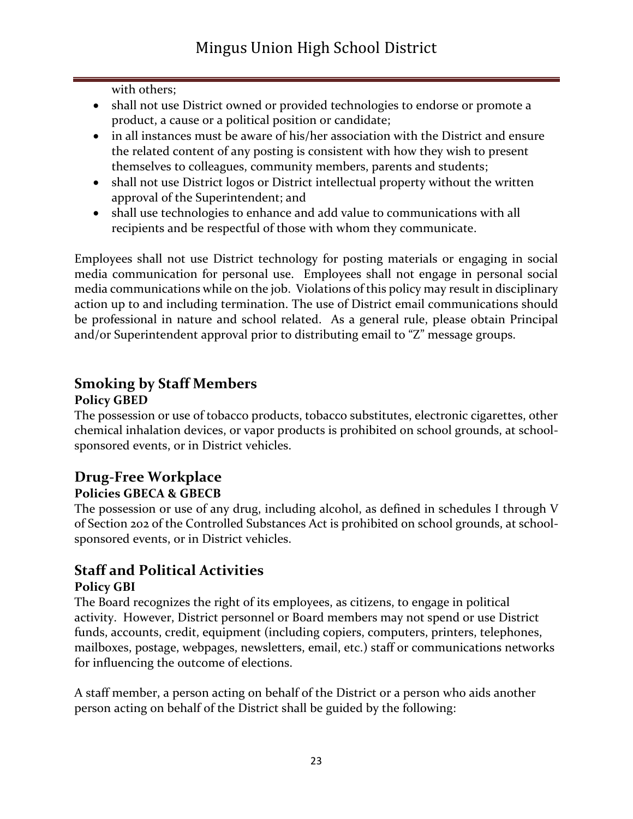with others;

- shall not use District owned or provided technologies to endorse or promote a product, a cause or a political position or candidate;
- in all instances must be aware of his/her association with the District and ensure the related content of any posting is consistent with how they wish to present themselves to colleagues, community members, parents and students;
- shall not use District logos or District intellectual property without the written approval of the Superintendent; and
- shall use technologies to enhance and add value to communications with all recipients and be respectful of those with whom they communicate.

Employees shall not use District technology for posting materials or engaging in social media communication for personal use. Employees shall not engage in personal social media communications while on the job. Violations of this policy may result in disciplinary action up to and including termination. The use of District email communications should be professional in nature and school related. As a general rule, please obtain Principal and/or Superintendent approval prior to distributing email to "Z" message groups.

## **Smoking by Staff Members**

#### **Policy GBED**

The possession or use of tobacco products, tobacco substitutes, electronic cigarettes, other chemical inhalation devices, or vapor products is prohibited on school grounds, at schoolsponsored events, or in District vehicles.

# **Drug-Free Workplace**

## **Policies GBECA & GBECB**

The possession or use of any drug, including alcohol, as defined in schedules I through V of Section 202 of the Controlled Substances Act is prohibited on school grounds, at schoolsponsored events, or in District vehicles.

# **Staff and Political Activities**

#### **Policy GBI**

The Board recognizes the right of its employees, as citizens, to engage in political activity. However, District personnel or Board members may not spend or use District funds, accounts, credit, equipment (including copiers, computers, printers, telephones, mailboxes, postage, webpages, newsletters, email, etc.) staff or communications networks for influencing the outcome of elections.

A staff member, a person acting on behalf of the District or a person who aids another person acting on behalf of the District shall be guided by the following: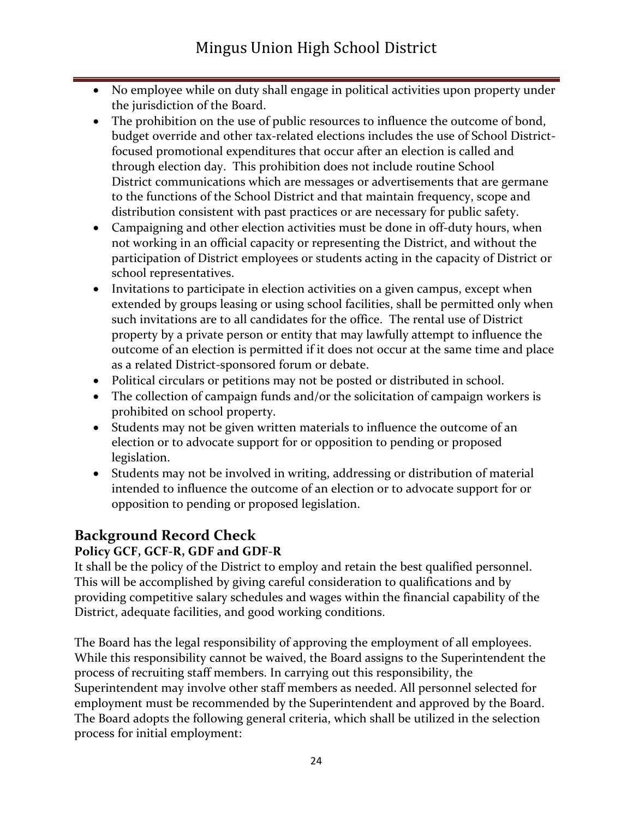- No employee while on duty shall engage in political activities upon property under the jurisdiction of the Board.
- The prohibition on the use of public resources to influence the outcome of bond, budget override and other tax-related elections includes the use of School Districtfocused promotional expenditures that occur after an election is called and through election day. This prohibition does not include routine School District communications which are messages or advertisements that are germane to the functions of the School District and that maintain frequency, scope and distribution consistent with past practices or are necessary for public safety.
- Campaigning and other election activities must be done in off-duty hours, when not working in an official capacity or representing the District, and without the participation of District employees or students acting in the capacity of District or school representatives.
- Invitations to participate in election activities on a given campus, except when extended by groups leasing or using school facilities, shall be permitted only when such invitations are to all candidates for the office. The rental use of District property by a private person or entity that may lawfully attempt to influence the outcome of an election is permitted if it does not occur at the same time and place as a related District-sponsored forum or debate.
- Political circulars or petitions may not be posted or distributed in school.
- The collection of campaign funds and/or the solicitation of campaign workers is prohibited on school property.
- Students may not be given written materials to influence the outcome of an election or to advocate support for or opposition to pending or proposed legislation.
- Students may not be involved in writing, addressing or distribution of material intended to influence the outcome of an election or to advocate support for or opposition to pending or proposed legislation.

## **Background Record Check**

#### **Policy GCF, GCF-R, GDF and GDF-R**

It shall be the policy of the District to employ and retain the best qualified personnel. This will be accomplished by giving careful consideration to qualifications and by providing competitive salary schedules and wages within the financial capability of the District, adequate facilities, and good working conditions.

The Board has the legal responsibility of approving the employment of all employees. While this responsibility cannot be waived, the Board assigns to the Superintendent the process of recruiting staff members. In carrying out this responsibility, the Superintendent may involve other staff members as needed. All personnel selected for employment must be recommended by the Superintendent and approved by the Board. The Board adopts the following general criteria, which shall be utilized in the selection process for initial employment: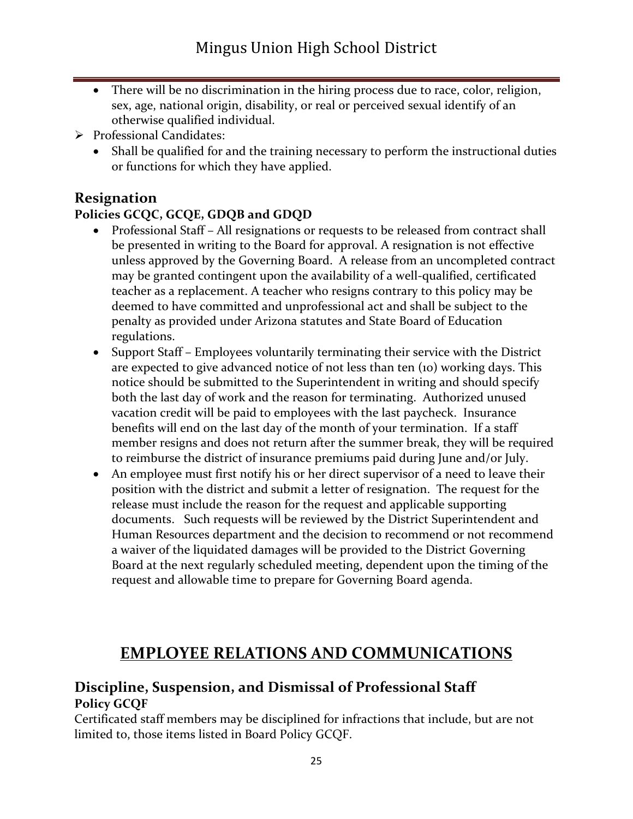- There will be no discrimination in the hiring process due to race, color, religion, sex, age, national origin, disability, or real or perceived sexual identify of an otherwise qualified individual.
- ➢ Professional Candidates:
	- Shall be qualified for and the training necessary to perform the instructional duties or functions for which they have applied.

## **Resignation**

#### **Policies GCQC, GCQE, GDQB and GDQD**

- Professional Staff All resignations or requests to be released from contract shall be presented in writing to the Board for approval. A resignation is not effective unless approved by the Governing Board. A release from an uncompleted contract may be granted contingent upon the availability of a well-qualified, certificated teacher as a replacement. A teacher who resigns contrary to this policy may be deemed to have committed and unprofessional act and shall be subject to the penalty as provided under Arizona statutes and State Board of Education regulations.
- Support Staff Employees voluntarily terminating their service with the District are expected to give advanced notice of not less than ten (10) working days. This notice should be submitted to the Superintendent in writing and should specify both the last day of work and the reason for terminating. Authorized unused vacation credit will be paid to employees with the last paycheck. Insurance benefits will end on the last day of the month of your termination. If a staff member resigns and does not return after the summer break, they will be required to reimburse the district of insurance premiums paid during June and/or July.
- An employee must first notify his or her direct supervisor of a need to leave their position with the district and submit a letter of resignation. The request for the release must include the reason for the request and applicable supporting documents. Such requests will be reviewed by the District Superintendent and Human Resources department and the decision to recommend or not recommend a waiver of the liquidated damages will be provided to the District Governing Board at the next regularly scheduled meeting, dependent upon the timing of the request and allowable time to prepare for Governing Board agenda.

## **EMPLOYEE RELATIONS AND COMMUNICATIONS**

#### **Discipline, Suspension, and Dismissal of Professional Staff Policy GCQF**

Certificated staff members may be disciplined for infractions that include, but are not limited to, those items listed in Board Policy GCQF.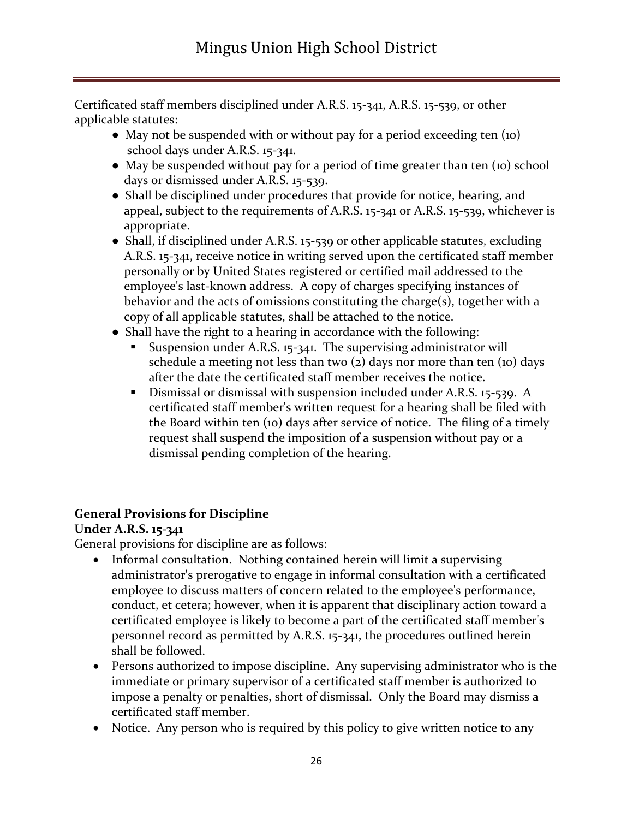Certificated staff members disciplined under A.R.S. 15-341, A.R.S. 15-539, or other applicable statutes:

- May not be suspended with or without pay for a period exceeding ten (10) school days under A.R.S. 15-341.
- May be suspended without pay for a period of time greater than ten (10) school days or dismissed under A.R.S. 15-539.
- Shall be disciplined under procedures that provide for notice, hearing, and appeal, subject to the requirements of A.R.S. 15-341 or A.R.S. 15-539, whichever is appropriate.
- Shall, if disciplined under A.R.S. 15-539 or other applicable statutes, excluding A.R.S. 15-341, receive notice in writing served upon the certificated staff member personally or by United States registered or certified mail addressed to the employee's last-known address. A copy of charges specifying instances of behavior and the acts of omissions constituting the charge(s), together with a copy of all applicable statutes, shall be attached to the notice.
- Shall have the right to a hearing in accordance with the following:
	- Suspension under A.R.S. 15-341. The supervising administrator will schedule a meeting not less than two  $(z)$  days nor more than ten  $(10)$  days after the date the certificated staff member receives the notice.
	- **•** Dismissal or dismissal with suspension included under A.R.S. 15-539. A certificated staff member's written request for a hearing shall be filed with the Board within ten (10) days after service of notice. The filing of a timely request shall suspend the imposition of a suspension without pay or a dismissal pending completion of the hearing.

#### **General Provisions for Discipline**

#### **Under A.R.S. 15-341**

General provisions for discipline are as follows:

- Informal consultation. Nothing contained herein will limit a supervising administrator's prerogative to engage in informal consultation with a certificated employee to discuss matters of concern related to the employee's performance, conduct, et cetera; however, when it is apparent that disciplinary action toward a certificated employee is likely to become a part of the certificated staff member's personnel record as permitted by A.R.S. 15-341, the procedures outlined herein shall be followed.
- Persons authorized to impose discipline. Any supervising administrator who is the immediate or primary supervisor of a certificated staff member is authorized to impose a penalty or penalties, short of dismissal. Only the Board may dismiss a certificated staff member.
- Notice. Any person who is required by this policy to give written notice to any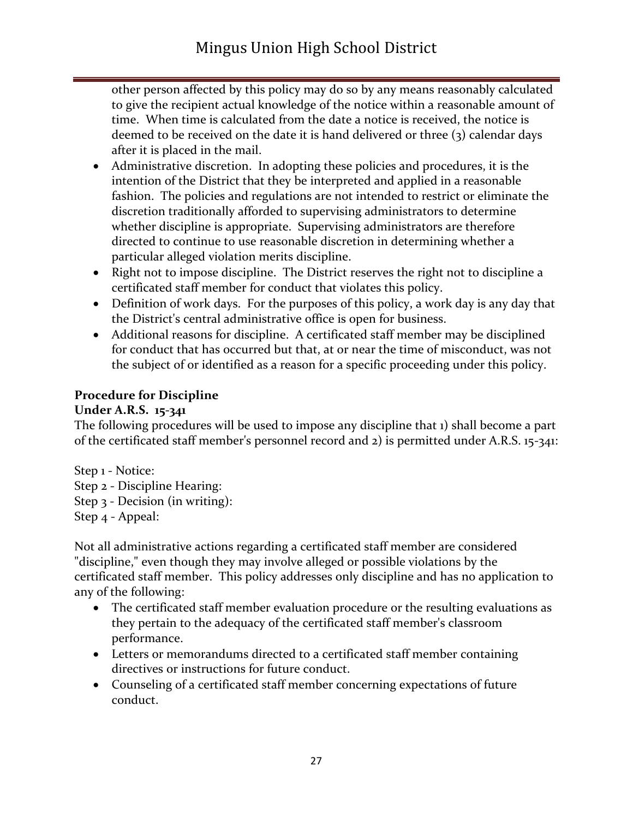other person affected by this policy may do so by any means reasonably calculated to give the recipient actual knowledge of the notice within a reasonable amount of time. When time is calculated from the date a notice is received, the notice is deemed to be received on the date it is hand delivered or three (3) calendar days after it is placed in the mail.

- Administrative discretion. In adopting these policies and procedures, it is the intention of the District that they be interpreted and applied in a reasonable fashion. The policies and regulations are not intended to restrict or eliminate the discretion traditionally afforded to supervising administrators to determine whether discipline is appropriate. Supervising administrators are therefore directed to continue to use reasonable discretion in determining whether a particular alleged violation merits discipline.
- Right not to impose discipline. The District reserves the right not to discipline a certificated staff member for conduct that violates this policy.
- Definition of work days. For the purposes of this policy, a work day is any day that the District's central administrative office is open for business.
- Additional reasons for discipline. A certificated staff member may be disciplined for conduct that has occurred but that, at or near the time of misconduct, was not the subject of or identified as a reason for a specific proceeding under this policy.

#### **Procedure for Discipline**

#### **Under A.R.S. 15-341**

The following procedures will be used to impose any discipline that 1) shall become a part of the certificated staff member's personnel record and 2) is permitted under A.R.S. 15-341:

Step 1 - Notice: Step 2 - Discipline Hearing: Step 3 - Decision (in writing): Step 4 - Appeal:

Not all administrative actions regarding a certificated staff member are considered "discipline," even though they may involve alleged or possible violations by the certificated staff member. This policy addresses only discipline and has no application to any of the following:

- The certificated staff member evaluation procedure or the resulting evaluations as they pertain to the adequacy of the certificated staff member's classroom performance.
- Letters or memorandums directed to a certificated staff member containing directives or instructions for future conduct.
- Counseling of a certificated staff member concerning expectations of future conduct.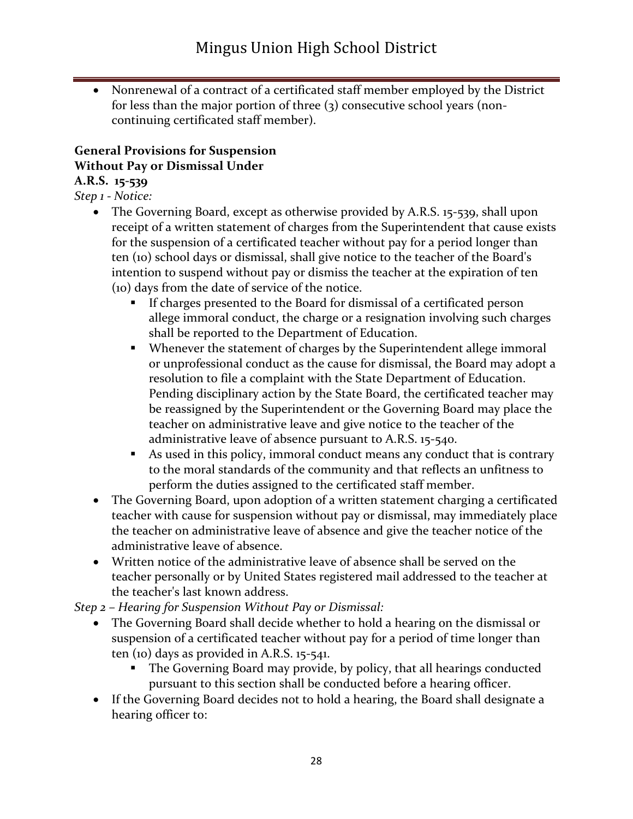• Nonrenewal of a contract of a certificated staff member employed by the District for less than the major portion of three (3) consecutive school years (noncontinuing certificated staff member).

#### **General Provisions for Suspension Without Pay or Dismissal Under**

#### **A.R.S. 15-539**

*Step 1 - Notice:*

- The Governing Board, except as otherwise provided by A.R.S. 15-539, shall upon receipt of a written statement of charges from the Superintendent that cause exists for the suspension of a certificated teacher without pay for a period longer than ten (10) school days or dismissal, shall give notice to the teacher of the Board's intention to suspend without pay or dismiss the teacher at the expiration of ten (10) days from the date of service of the notice.
	- If charges presented to the Board for dismissal of a certificated person allege immoral conduct, the charge or a resignation involving such charges shall be reported to the Department of Education.
	- Whenever the statement of charges by the Superintendent allege immoral or unprofessional conduct as the cause for dismissal, the Board may adopt a resolution to file a complaint with the State Department of Education. Pending disciplinary action by the State Board, the certificated teacher may be reassigned by the Superintendent or the Governing Board may place the teacher on administrative leave and give notice to the teacher of the administrative leave of absence pursuant to A.R.S. 15-540.
	- As used in this policy, immoral conduct means any conduct that is contrary to the moral standards of the community and that reflects an unfitness to perform the duties assigned to the certificated staff member.
- The Governing Board, upon adoption of a written statement charging a certificated teacher with cause for suspension without pay or dismissal, may immediately place the teacher on administrative leave of absence and give the teacher notice of the administrative leave of absence.
- Written notice of the administrative leave of absence shall be served on the teacher personally or by United States registered mail addressed to the teacher at the teacher's last known address.

*Step 2 – Hearing for Suspension Without Pay or Dismissal:*

- The Governing Board shall decide whether to hold a hearing on the dismissal or suspension of a certificated teacher without pay for a period of time longer than ten (10) days as provided in A.R.S. 15-541.
	- The Governing Board may provide, by policy, that all hearings conducted pursuant to this section shall be conducted before a hearing officer.
- If the Governing Board decides not to hold a hearing, the Board shall designate a hearing officer to: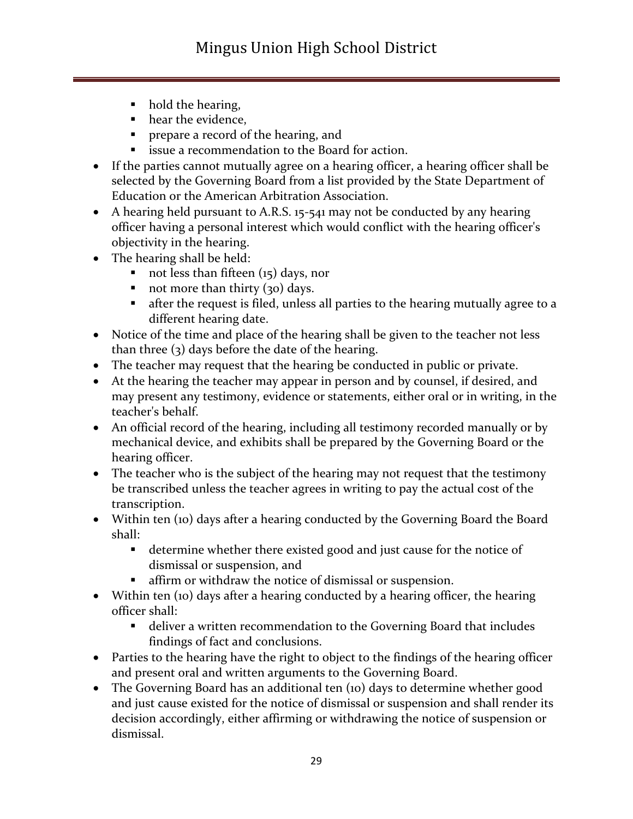- hold the hearing,
- hear the evidence,
- **•** prepare a record of the hearing, and
- issue a recommendation to the Board for action.
- If the parties cannot mutually agree on a hearing officer, a hearing officer shall be selected by the Governing Board from a list provided by the State Department of Education or the American Arbitration Association.
- A hearing held pursuant to A.R.S. 15-541 may not be conducted by any hearing officer having a personal interest which would conflict with the hearing officer's objectivity in the hearing.
- The hearing shall be held:
	- $\blacksquare$  not less than fifteen (15) days, nor
	- $\blacksquare$  not more than thirty (30) days.
	- **•** after the request is filed, unless all parties to the hearing mutually agree to a different hearing date.
- Notice of the time and place of the hearing shall be given to the teacher not less than three (3) days before the date of the hearing.
- The teacher may request that the hearing be conducted in public or private.
- At the hearing the teacher may appear in person and by counsel, if desired, and may present any testimony, evidence or statements, either oral or in writing, in the teacher's behalf.
- An official record of the hearing, including all testimony recorded manually or by mechanical device, and exhibits shall be prepared by the Governing Board or the hearing officer.
- The teacher who is the subject of the hearing may not request that the testimony be transcribed unless the teacher agrees in writing to pay the actual cost of the transcription.
- Within ten (10) days after a hearing conducted by the Governing Board the Board shall:
	- determine whether there existed good and just cause for the notice of dismissal or suspension, and
	- affirm or withdraw the notice of dismissal or suspension.
- Within ten (10) days after a hearing conducted by a hearing officer, the hearing officer shall:
	- deliver a written recommendation to the Governing Board that includes findings of fact and conclusions.
- Parties to the hearing have the right to object to the findings of the hearing officer and present oral and written arguments to the Governing Board.
- The Governing Board has an additional ten (10) days to determine whether good and just cause existed for the notice of dismissal or suspension and shall render its decision accordingly, either affirming or withdrawing the notice of suspension or dismissal.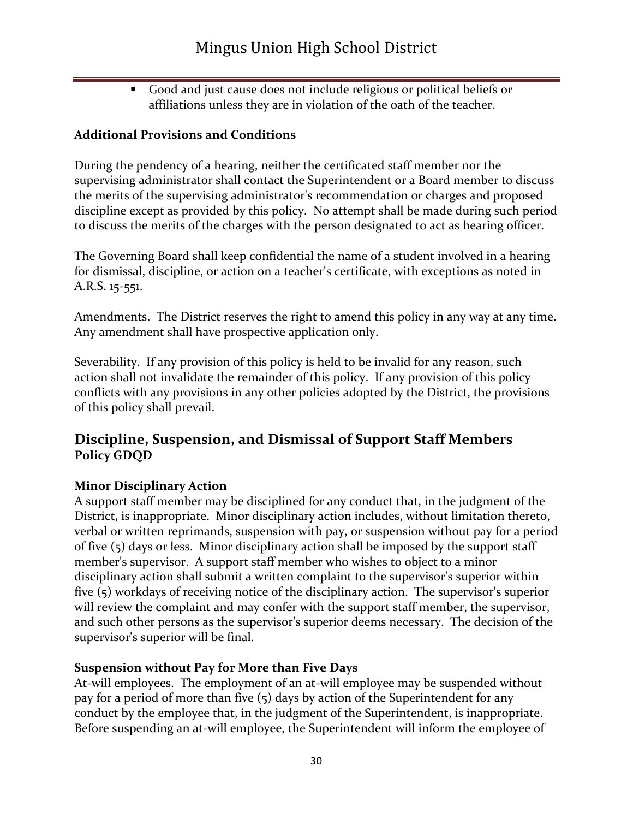▪ Good and just cause does not include religious or political beliefs or affiliations unless they are in violation of the oath of the teacher.

#### **Additional Provisions and Conditions**

During the pendency of a hearing, neither the certificated staff member nor the supervising administrator shall contact the Superintendent or a Board member to discuss the merits of the supervising administrator's recommendation or charges and proposed discipline except as provided by this policy. No attempt shall be made during such period to discuss the merits of the charges with the person designated to act as hearing officer.

The Governing Board shall keep confidential the name of a student involved in a hearing for dismissal, discipline, or action on a teacher's certificate, with exceptions as noted in A.R.S. 15-551.

Amendments. The District reserves the right to amend this policy in any way at any time. Any amendment shall have prospective application only.

Severability. If any provision of this policy is held to be invalid for any reason, such action shall not invalidate the remainder of this policy. If any provision of this policy conflicts with any provisions in any other policies adopted by the District, the provisions of this policy shall prevail.

## **Discipline, Suspension, and Dismissal of Support Staff Members Policy GDQD**

#### **Minor Disciplinary Action**

A support staff member may be disciplined for any conduct that, in the judgment of the District, is inappropriate. Minor disciplinary action includes, without limitation thereto, verbal or written reprimands, suspension with pay, or suspension without pay for a period of five (5) days or less. Minor disciplinary action shall be imposed by the support staff member's supervisor. A support staff member who wishes to object to a minor disciplinary action shall submit a written complaint to the supervisor's superior within five (5) workdays of receiving notice of the disciplinary action. The supervisor's superior will review the complaint and may confer with the support staff member, the supervisor, and such other persons as the supervisor's superior deems necessary. The decision of the supervisor's superior will be final.

#### **Suspension without Pay for More than Five Days**

At-will employees. The employment of an at-will employee may be suspended without pay for a period of more than five (5) days by action of the Superintendent for any conduct by the employee that, in the judgment of the Superintendent, is inappropriate. Before suspending an at-will employee, the Superintendent will inform the employee of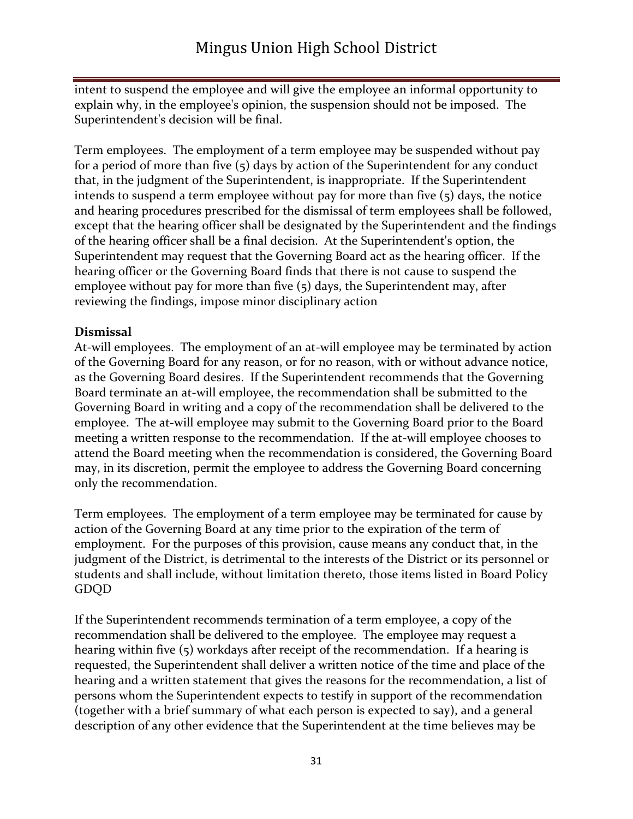intent to suspend the employee and will give the employee an informal opportunity to explain why, in the employee's opinion, the suspension should not be imposed. The Superintendent's decision will be final.

Term employees. The employment of a term employee may be suspended without pay for a period of more than five (5) days by action of the Superintendent for any conduct that, in the judgment of the Superintendent, is inappropriate. If the Superintendent intends to suspend a term employee without pay for more than five (5) days, the notice and hearing procedures prescribed for the dismissal of term employees shall be followed, except that the hearing officer shall be designated by the Superintendent and the findings of the hearing officer shall be a final decision. At the Superintendent's option, the Superintendent may request that the Governing Board act as the hearing officer. If the hearing officer or the Governing Board finds that there is not cause to suspend the employee without pay for more than five (5) days, the Superintendent may, after reviewing the findings, impose minor disciplinary action

#### **Dismissal**

At-will employees. The employment of an at-will employee may be terminated by action of the Governing Board for any reason, or for no reason, with or without advance notice, as the Governing Board desires. If the Superintendent recommends that the Governing Board terminate an at-will employee, the recommendation shall be submitted to the Governing Board in writing and a copy of the recommendation shall be delivered to the employee. The at-will employee may submit to the Governing Board prior to the Board meeting a written response to the recommendation. If the at-will employee chooses to attend the Board meeting when the recommendation is considered, the Governing Board may, in its discretion, permit the employee to address the Governing Board concerning only the recommendation.

Term employees. The employment of a term employee may be terminated for cause by action of the Governing Board at any time prior to the expiration of the term of employment. For the purposes of this provision, cause means any conduct that, in the judgment of the District, is detrimental to the interests of the District or its personnel or students and shall include, without limitation thereto, those items listed in Board Policy GDQD

If the Superintendent recommends termination of a term employee, a copy of the recommendation shall be delivered to the employee. The employee may request a hearing within five (5) workdays after receipt of the recommendation. If a hearing is requested, the Superintendent shall deliver a written notice of the time and place of the hearing and a written statement that gives the reasons for the recommendation, a list of persons whom the Superintendent expects to testify in support of the recommendation (together with a brief summary of what each person is expected to say), and a general description of any other evidence that the Superintendent at the time believes may be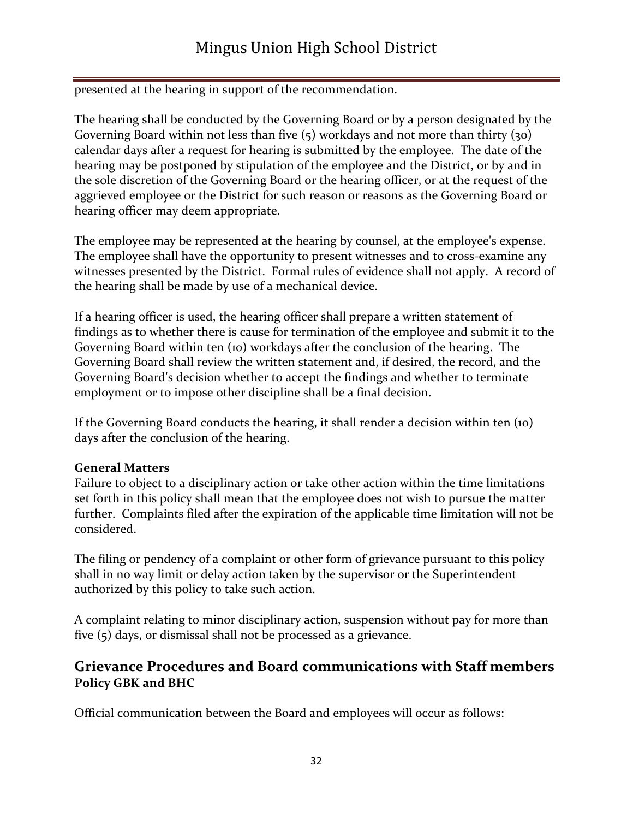presented at the hearing in support of the recommendation.

The hearing shall be conducted by the Governing Board or by a person designated by the Governing Board within not less than five (5) workdays and not more than thirty (30) calendar days after a request for hearing is submitted by the employee. The date of the hearing may be postponed by stipulation of the employee and the District, or by and in the sole discretion of the Governing Board or the hearing officer, or at the request of the aggrieved employee or the District for such reason or reasons as the Governing Board or hearing officer may deem appropriate.

The employee may be represented at the hearing by counsel, at the employee's expense. The employee shall have the opportunity to present witnesses and to cross-examine any witnesses presented by the District. Formal rules of evidence shall not apply. A record of the hearing shall be made by use of a mechanical device.

If a hearing officer is used, the hearing officer shall prepare a written statement of findings as to whether there is cause for termination of the employee and submit it to the Governing Board within ten (10) workdays after the conclusion of the hearing. The Governing Board shall review the written statement and, if desired, the record, and the Governing Board's decision whether to accept the findings and whether to terminate employment or to impose other discipline shall be a final decision.

If the Governing Board conducts the hearing, it shall render a decision within ten (10) days after the conclusion of the hearing.

#### **General Matters**

Failure to object to a disciplinary action or take other action within the time limitations set forth in this policy shall mean that the employee does not wish to pursue the matter further. Complaints filed after the expiration of the applicable time limitation will not be considered.

The filing or pendency of a complaint or other form of grievance pursuant to this policy shall in no way limit or delay action taken by the supervisor or the Superintendent authorized by this policy to take such action.

A complaint relating to minor disciplinary action, suspension without pay for more than five (5) days, or dismissal shall not be processed as a grievance.

## **Grievance Procedures and Board communications with Staff members Policy GBK and BHC**

Official communication between the Board and employees will occur as follows: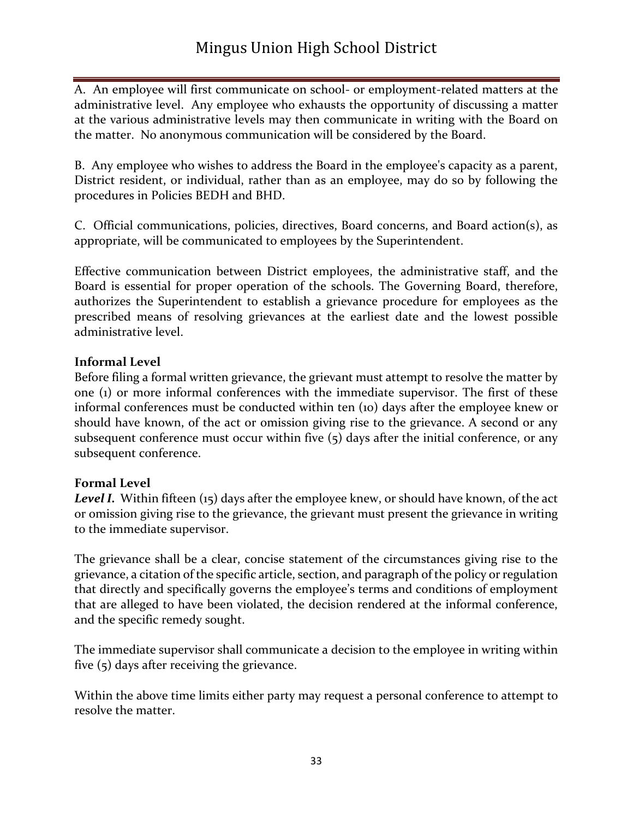A. An employee will first communicate on school- or employment-related matters at the administrative level. Any employee who exhausts the opportunity of discussing a matter at the various administrative levels may then communicate in writing with the Board on the matter. No anonymous communication will be considered by the Board.

B. Any employee who wishes to address the Board in the employee's capacity as a parent, District resident, or individual, rather than as an employee, may do so by following the procedures in Policies BEDH and BHD.

C. Official communications, policies, directives, Board concerns, and Board action(s), as appropriate, will be communicated to employees by the Superintendent.

Effective communication between District employees, the administrative staff, and the Board is essential for proper operation of the schools. The Governing Board, therefore, authorizes the Superintendent to establish a grievance procedure for employees as the prescribed means of resolving grievances at the earliest date and the lowest possible administrative level.

#### **Informal Level**

Before filing a formal written grievance, the grievant must attempt to resolve the matter by one (1) or more informal conferences with the immediate supervisor. The first of these informal conferences must be conducted within ten (10) days after the employee knew or should have known, of the act or omission giving rise to the grievance. A second or any subsequent conference must occur within five  $(5)$  days after the initial conference, or any subsequent conference.

#### **Formal Level**

*Level I.* Within fifteen (15) days after the employee knew, or should have known, of the act or omission giving rise to the grievance, the grievant must present the grievance in writing to the immediate supervisor.

The grievance shall be a clear, concise statement of the circumstances giving rise to the grievance, a citation of the specific article, section, and paragraph of the policy or regulation that directly and specifically governs the employee's terms and conditions of employment that are alleged to have been violated, the decision rendered at the informal conference, and the specific remedy sought.

The immediate supervisor shall communicate a decision to the employee in writing within five (5) days after receiving the grievance.

Within the above time limits either party may request a personal conference to attempt to resolve the matter.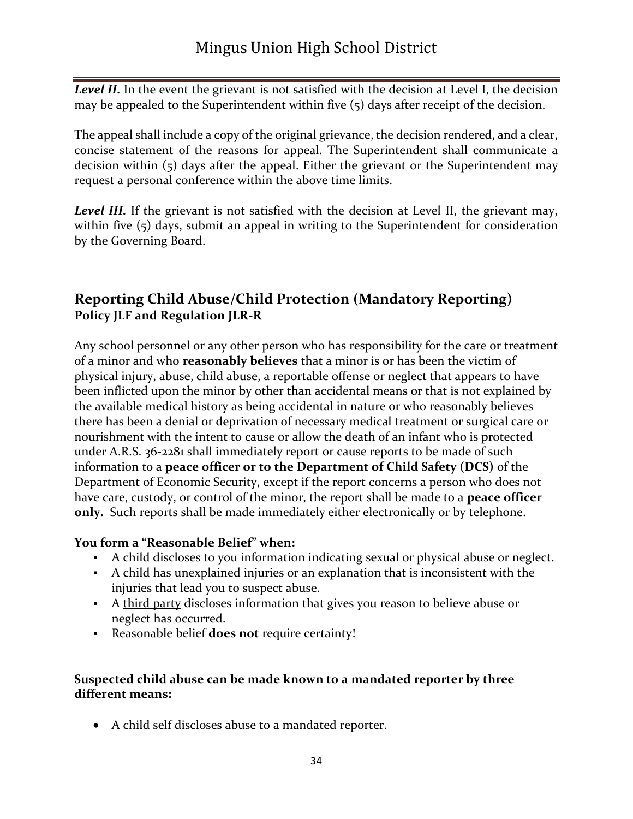Level II. In the event the grievant is not satisfied with the decision at Level I, the decision may be appealed to the Superintendent within five (5) days after receipt of the decision.

The appeal shall include a copy of the original grievance, the decision rendered, and a clear, concise statement of the reasons for appeal. The Superintendent shall communicate a decision within (5) days after the appeal. Either the grievant or the Superintendent may request a personal conference within the above time limits.

*Level III.* If the grievant is not satisfied with the decision at Level II, the grievant may, within five (5) days, submit an appeal in writing to the Superintendent for consideration by the Governing Board.

## **Reporting Child Abuse/Child Protection (Mandatory Reporting) Policy JLF and Regulation JLR-R**

Any school personnel or any other person who has responsibility for the care or treatment of a minor and who **reasonably believes** that a minor is or has been the victim of physical injury, abuse, child abuse, a reportable offense or neglect that appears to have been inflicted upon the minor by other than accidental means or that is not explained by the available medical history as being accidental in nature or who reasonably believes there has been a denial or deprivation of necessary medical treatment or surgical care or nourishment with the intent to cause or allow the death of an infant who is protected under A.R.S. [36-2281](http://www.azleg.gov/FormatDocument.asp?inDoc=/ars/36/02281.htm&Title=36&DocType=ARS) shall immediately report or cause reports to be made of such information to a **peace officer or to the Department of Child Safety (DCS)** of the Department of Economic Security, except if the report concerns a person who does not have care, custody, or control of the minor, the report shall be made to a **peace officer only.** Such reports shall be made immediately either electronically or by telephone.

#### **You form a "Reasonable Belief" when:**

- A child discloses to you information indicating sexual or physical abuse or neglect.
- A child has unexplained injuries or an explanation that is inconsistent with the injuries that lead you to suspect abuse.
- A third party discloses information that gives you reason to believe abuse or neglect has occurred.
- Reasonable belief **does not** require certainty!

#### **Suspected child abuse can be made known to a mandated reporter by three different means:**

• A child self discloses abuse to a mandated reporter.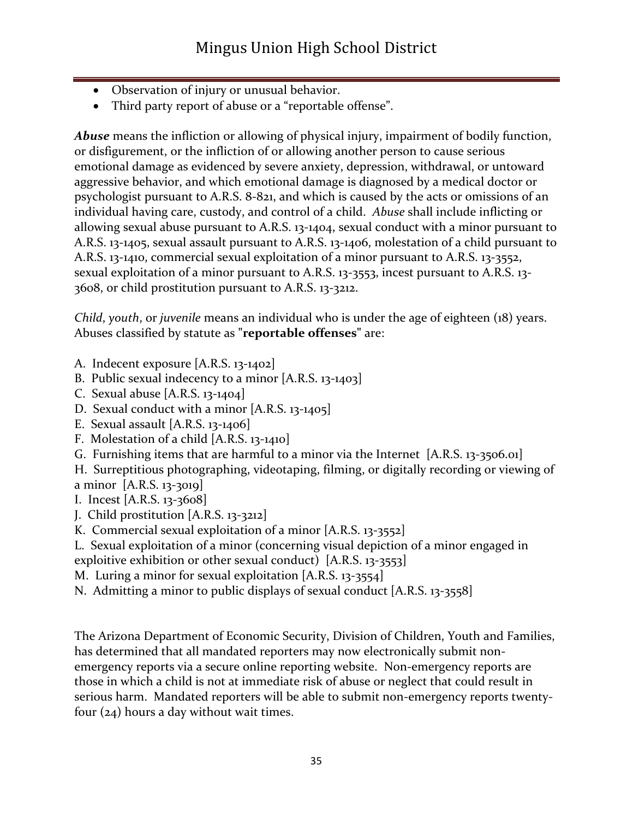- Observation of injury or unusual behavior.
- Third party report of abuse or a "reportable offense".

*Abuse* means the infliction or allowing of physical injury, impairment of bodily function, or disfigurement, or the infliction of or allowing another person to cause serious emotional damage as evidenced by severe anxiety, depression, withdrawal, or untoward aggressive behavior, and which emotional damage is diagnosed by a medical doctor or psychologist pursuant to A.R.S. [8-821,](http://www.azleg.gov/FormatDocument.asp?inDoc=/ars/8/00821.htm&Title=8&DocType=ARS) and which is caused by the acts or omissions of an individual having care, custody, and control of a child. *Abuse* shall include inflicting or allowing sexual abuse pursuant to A.R.S. [13-1404,](http://www.azleg.gov/FormatDocument.asp?inDoc=/ars/13/01404.htm&Title=13&DocType=ARS) sexual conduct with a minor pursuant to A.R.S. [13-1405,](http://www.azleg.gov/FormatDocument.asp?inDoc=/ars/13/01405.htm&Title=13&DocType=ARS) sexual assault pursuant to A.R.S. [13-1406,](http://www.azleg.gov/FormatDocument.asp?inDoc=/ars/13/01406.htm&Title=13&DocType=ARS) molestation of a child pursuant to A.R.S. [13-1410,](http://www.azleg.gov/FormatDocument.asp?inDoc=/ars/13/01410.htm&Title=13&DocType=ARS) commercial sexual exploitation of a minor pursuant to A.R.S. [13-3552,](http://www.azleg.gov/FormatDocument.asp?inDoc=/ars/13/03552.htm&Title=13&DocType=ARS) sexual exploitation of a minor pursuant to A.R.S. [13-3553,](http://www.azleg.gov/FormatDocument.asp?inDoc=/ars/13/03553.htm&Title=13&DocType=ARS) incest pursuant to A.R.S. [13-](http://www.azleg.gov/FormatDocument.asp?inDoc=/ars/13/03608.htm&Title=13&DocType=ARS) [3608,](http://www.azleg.gov/FormatDocument.asp?inDoc=/ars/13/03608.htm&Title=13&DocType=ARS) or child prostitution pursuant to A.R.S. [13-3212.](http://www.azleg.gov/FormatDocument.asp?inDoc=/ars/13/03212.htm&Title=13&DocType=ARS)

*Child*, *youth*, or *juvenile* means an individual who is under the age of eighteen (18) years. Abuses classified by statute as **"reportable offenses"** are:

- A. Indecent exposure [A.R.S. [13-1402\]](http://www.azleg.gov/FormatDocument.asp?inDoc=/ars/13/01402.htm&Title=13&DocType=ARS)
- B. Public sexual indecency to a minor [A.R.S. [13-1403\]](http://www.azleg.gov/FormatDocument.asp?inDoc=/ars/13/01403.htm&Title=13&DocType=ARS)
- C. Sexual abuse [A.R.S. [13-1404\]](http://www.azleg.gov/FormatDocument.asp?inDoc=/ars/13/01404.htm&Title=13&DocType=ARS)
- D. Sexual conduct with a minor [A.R.S. [13-1405\]](http://www.azleg.gov/FormatDocument.asp?inDoc=/ars/13/01405.htm&Title=13&DocType=ARS)
- E. Sexual assault [A.R.S. [13-1406\]](http://www.azleg.gov/FormatDocument.asp?inDoc=/ars/13/01406.htm&Title=13&DocType=ARS)
- F. Molestation of a child [A.R.S. [13-1410\]](http://www.azleg.gov/FormatDocument.asp?inDoc=/ars/13/01410.htm&Title=13&DocType=ARS)
- G. Furnishing items that are harmful to a minor via the Internet [A.R.S. [13-3506.01\]](http://www.azleg.gov/FormatDocument.asp?inDoc=/ars/13/03506-01.htm&Title=13&DocType=ARS)
- H. Surreptitious photographing, videotaping, filming, or digitally recording or viewing of a minor [A.R.S. [13-3019\]](http://www.azleg.gov/FormatDocument.asp?inDoc=/ars/13/03019.htm&Title=13&DocType=ARS)
- I. Incest [A.R.S. [13-3608\]](http://www.azleg.gov/FormatDocument.asp?inDoc=/ars/13/03608.htm&Title=13&DocType=ARS)
- J. Child prostitution [A.R.S. [13-3212\]](http://www.azleg.gov/FormatDocument.asp?inDoc=/ars/13/03212.htm&Title=13&DocType=ARS)
- K. Commercial sexual exploitation of a minor [A.R.S. [13-3552\]](http://www.azleg.gov/FormatDocument.asp?inDoc=/ars/13/03552.htm&Title=13&DocType=ARS)
- L. Sexual exploitation of a minor (concerning visual depiction of a minor engaged in
- exploitive exhibition or other sexual conduct) [A.R.S. [13-3553\]](http://www.azleg.gov/FormatDocument.asp?inDoc=/ars/13/03553.htm&Title=13&DocType=ARS)
- M. Luring a minor for sexual exploitation [A.R.S. [13-3554\]](http://www.azleg.gov/FormatDocument.asp?inDoc=/ars/13/03554.htm&Title=13&DocType=ARS)
- N. Admitting a minor to public displays of sexual conduct [A.R.S. [13-3558\]](http://www.azleg.gov/FormatDocument.asp?inDoc=/ars/13/03558.htm&Title=13&DocType=ARS)

The Arizona Department of Economic Security, Division of Children, Youth and Families, has determined that all mandated reporters may now electronically submit nonemergency reports via a secure online reporting website. Non-emergency reports are those in which a child is not at immediate risk of abuse or neglect that could result in serious harm. Mandated reporters will be able to submit non-emergency reports twentyfour (24) hours a day without wait times.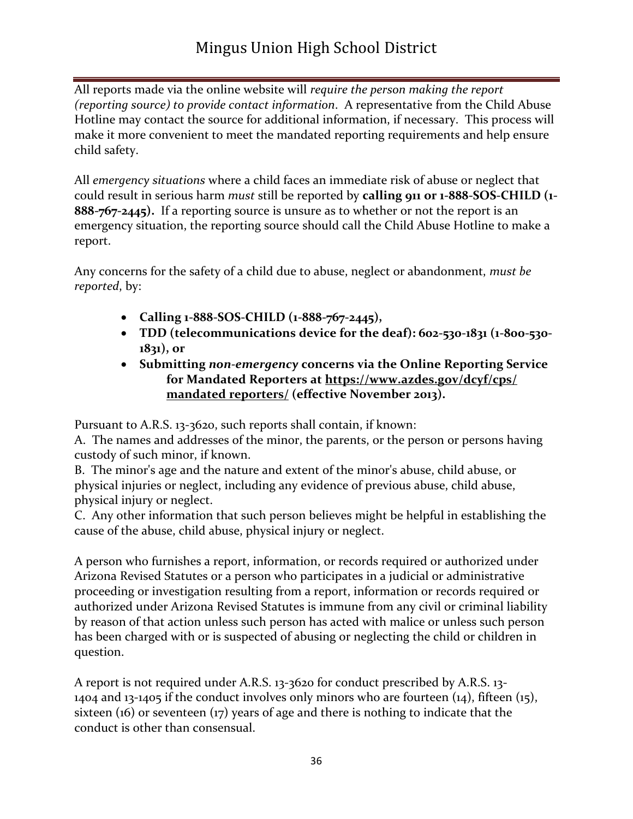All reports made via the online website will *require the person making the report (reporting source) to provide contact information*. A representative from the Child Abuse Hotline may contact the source for additional information, if necessary. This process will make it more convenient to meet the mandated reporting requirements and help ensure child safety.

All *emergency situations* where a child faces an immediate risk of abuse or neglect that could result in serious harm *must* still be reported by **calling 911 or 1-888-SOS-CHILD (1- 888-767-2445).** If a reporting source is unsure as to whether or not the report is an emergency situation, the reporting source should call the Child Abuse Hotline to make a report.

Any concerns for the safety of a child due to abuse, neglect or abandonment, *must be reported*, by:

- **Calling 1-888-SOS-CHILD (1-888-767-2445),**
- **TDD (telecommunications device for the deaf): 602-530-1831 (1-800-530- 1831), or**
- **Submitting** *non-emergency* **concerns via the Online Reporting Service for Mandated Reporters at [https://www.azdes.gov/dcyf/cps/](http://www.azdes.gov/dcyf/cps/mandated_reporters/) [mandated reporters/](http://www.azdes.gov/dcyf/cps/mandated_reporters/) (effective November 2013).**

Pursuant to A.R.S. [13-3620,](http://www.azleg.gov/FormatDocument.asp?inDoc=/ars/13/03620.htm&Title=13&DocType=ARS) such reports shall contain, if known:

A. The names and addresses of the minor, the parents, or the person or persons having custody of such minor, if known.

B. The minor's age and the nature and extent of the minor's abuse, child abuse, or physical injuries or neglect, including any evidence of previous abuse, child abuse, physical injury or neglect.

C. Any other information that such person believes might be helpful in establishing the cause of the abuse, child abuse, physical injury or neglect.

A person who furnishes a report, information, or records required or authorized under Arizona Revised Statutes or a person who participates in a judicial or administrative proceeding or investigation resulting from a report, information or records required or authorized under Arizona Revised Statutes is immune from any civil or criminal liability by reason of that action unless such person has acted with malice or unless such person has been charged with or is suspected of abusing or neglecting the child or children in question.

A report is not required under A.R.S. [13-3620](http://www.azleg.gov/FormatDocument.asp?inDoc=/ars/13/03620.htm&Title=13&DocType=ARS) for conduct prescribed by A.R.S. [13-](http://www.azleg.gov/FormatDocument.asp?inDoc=/ars/13/01404.htm&Title=13&DocType=ARS) [1404](http://www.azleg.gov/FormatDocument.asp?inDoc=/ars/13/01404.htm&Title=13&DocType=ARS) and [13-1405](http://www.azleg.gov/FormatDocument.asp?inDoc=/ars/13/01405.htm&Title=13&DocType=ARS) if the conduct involves only minors who are fourteen (14), fifteen (15), sixteen (16) or seventeen (17) years of age and there is nothing to indicate that the conduct is other than consensual.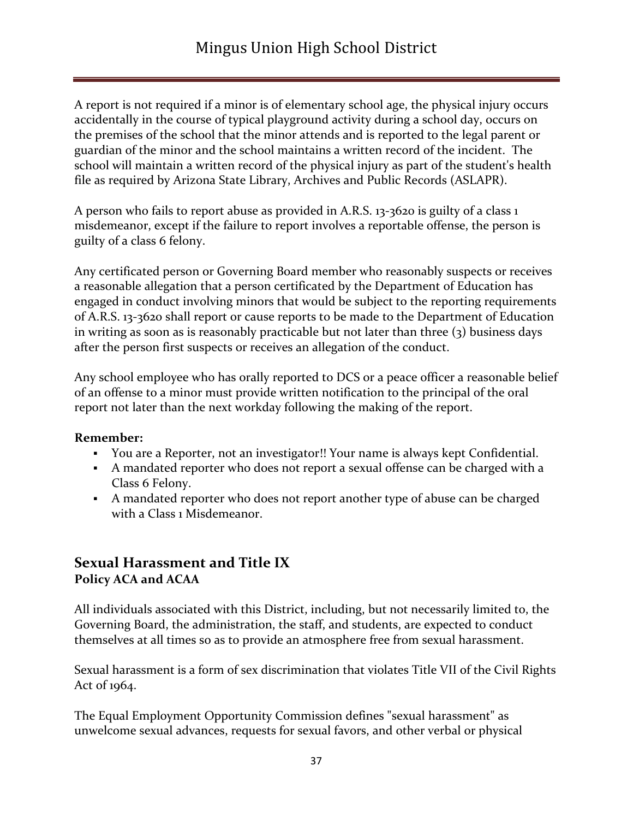A report is not required if a minor is of elementary school age, the physical injury occurs accidentally in the course of typical playground activity during a school day, occurs on the premises of the school that the minor attends and is reported to the legal parent or guardian of the minor and the school maintains a written record of the incident. The school will maintain a written record of the physical injury as part of the student's health file as required by Arizona State Library, Archives and Public Records (ASLAPR).

A person who fails to report abuse as provided in A.R.S. [13-3620](http://www.azleg.gov/FormatDocument.asp?inDoc=/ars/13/03620.htm&Title=13&DocType=ARS) is guilty of a class 1 misdemeanor, except if the failure to report involves a reportable offense, the person is guilty of a class 6 felony.

Any certificated person or Governing Board member who reasonably suspects or receives a reasonable allegation that a person certificated by the Department of Education has engaged in conduct involving minors that would be subject to the reporting requirements of A.R.S. [13-3620](http://www.azleg.gov/FormatDocument.asp?inDoc=/ars/13/03620.htm&Title=13&DocType=ARS) shall report or cause reports to be made to the Department of Education in writing as soon as is reasonably practicable but not later than three  $(3)$  business days after the person first suspects or receives an allegation of the conduct.

Any school employee who has orally reported to DCS or a peace officer a reasonable belief of an offense to a minor must provide written notification to the principal of the oral report not later than the next workday following the making of the report.

#### **Remember:**

- You are a Reporter, not an investigator!! Your name is always kept Confidential.
- A mandated reporter who does not report a sexual offense can be charged with a Class 6 Felony.
- A mandated reporter who does not report another type of abuse can be charged with a Class 1 Misdemeanor.

#### **Sexual Harassment and Title IX Policy ACA and ACAA**

All individuals associated with this District, including, but not necessarily limited to, the Governing Board, the administration, the staff, and students, are expected to conduct themselves at all times so as to provide an atmosphere free from sexual harassment.

Sexual harassment is a form of sex discrimination that violates Title VII of the Civil Rights Act of 1964.

The Equal Employment Opportunity Commission defines "sexual harassment" as unwelcome sexual advances, requests for sexual favors, and other verbal or physical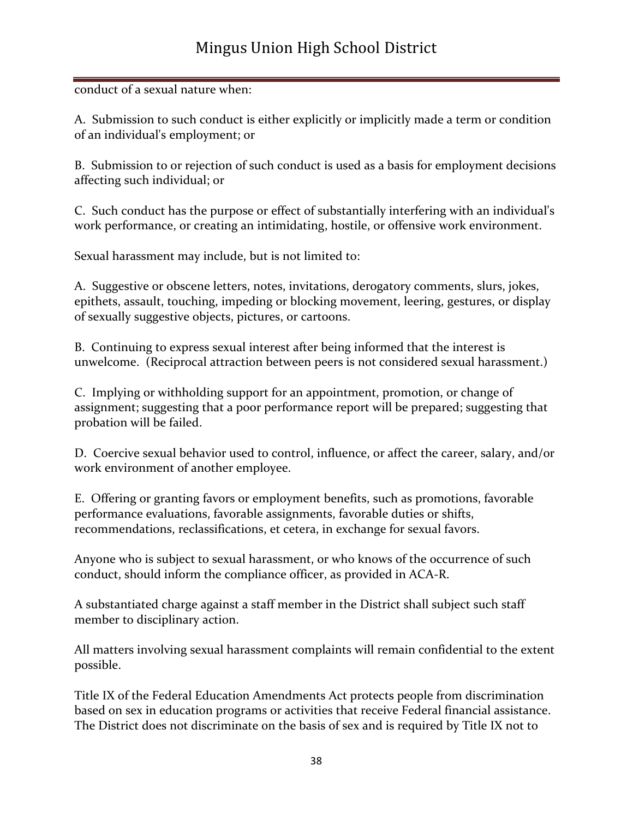## Mingus Union High School District

#### conduct of a sexual nature when:

A. Submission to such conduct is either explicitly or implicitly made a term or condition of an individual's employment; or

B. Submission to or rejection of such conduct is used as a basis for employment decisions affecting such individual; or

C. Such conduct has the purpose or effect of substantially interfering with an individual's work performance, or creating an intimidating, hostile, or offensive work environment.

Sexual harassment may include, but is not limited to:

A. Suggestive or obscene letters, notes, invitations, derogatory comments, slurs, jokes, epithets, assault, touching, impeding or blocking movement, leering, gestures, or display of sexually suggestive objects, pictures, or cartoons.

B. Continuing to express sexual interest after being informed that the interest is unwelcome. (Reciprocal attraction between peers is not considered sexual harassment.)

C. Implying or withholding support for an appointment, promotion, or change of assignment; suggesting that a poor performance report will be prepared; suggesting that probation will be failed.

D. Coercive sexual behavior used to control, influence, or affect the career, salary, and/or work environment of another employee.

E. Offering or granting favors or employment benefits, such as promotions, favorable performance evaluations, favorable assignments, favorable duties or shifts, recommendations, reclassifications, et cetera, in exchange for sexual favors.

Anyone who is subject to sexual harassment, or who knows of the occurrence of such conduct, should inform the compliance officer, as provided in ACA-R.

A substantiated charge against a staff member in the District shall subject such staff member to disciplinary action.

All matters involving sexual harassment complaints will remain confidential to the extent possible.

Title IX of the Federal Education Amendments Act protects people from discrimination based on sex in education programs or activities that receive Federal financial assistance. The District does not discriminate on the basis of sex and is required by Title IX not to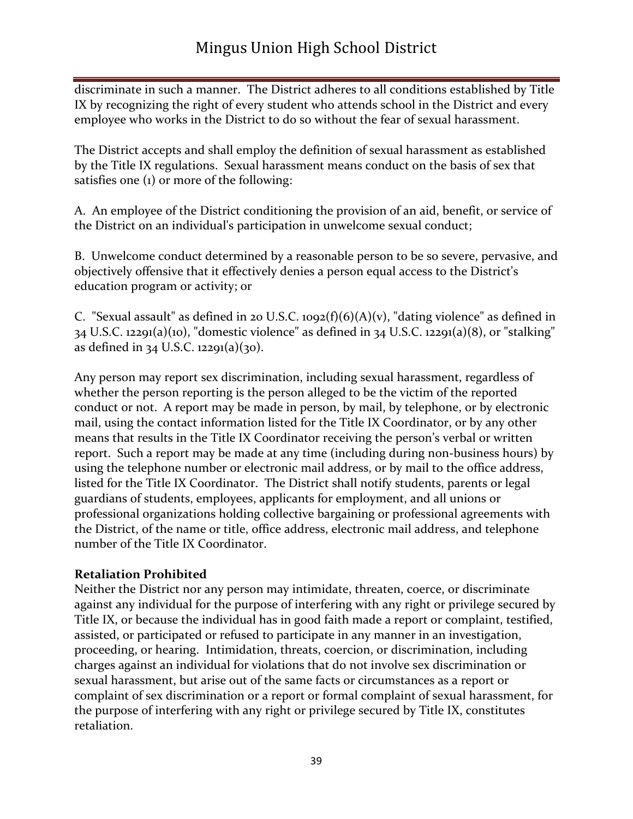discriminate in such a manner. The District adheres to all conditions established by Title IX by recognizing the right of every student who attends school in the District and every employee who works in the District to do so without the fear of sexual harassment.

The District accepts and shall employ the definition of sexual harassment as established by the Title IX regulations. Sexual harassment means conduct on the basis of sex that satisfies one (1) or more of the following:

A. An employee of the District conditioning the provision of an aid, benefit, or service of the District on an individual's participation in unwelcome sexual conduct;

B. Unwelcome conduct determined by a reasonable person to be so severe, pervasive, and objectively offensive that it effectively denies a person equal access to the District's education program or activity; or

C. "Sexual assault" as defined in 20 U.S.C. 1092(f)(6)(A)(v), "dating violence" as defined in 34 U.S.C. 12291(a)(10), "domestic violence" as defined in 34 U.S.C. 12291(a)(8), or "stalking" as defined in 34 U.S.C.  $12291(a)(30)$ .

Any person may report sex discrimination, including sexual harassment, regardless of whether the person reporting is the person alleged to be the victim of the reported conduct or not. A report may be made in person, by mail, by telephone, or by electronic mail, using the contact information listed for the Title IX Coordinator, or by any other means that results in the Title IX Coordinator receiving the person's verbal or written report. Such a report may be made at any time (including during non-business hours) by using the telephone number or electronic mail address, or by mail to the office address, listed for the Title IX Coordinator. The District shall notify students, parents or legal guardians of students, employees, applicants for employment, and all unions or professional organizations holding collective bargaining or professional agreements with the District, of the name or title, office address, electronic mail address, and telephone number of the Title IX Coordinator.

#### **Retaliation Prohibited**

Neither the District nor any person may intimidate, threaten, coerce, or discriminate against any individual for the purpose of interfering with any right or privilege secured by Title IX, or because the individual has in good faith made a report or complaint, testified, assisted, or participated or refused to participate in any manner in an investigation, proceeding, or hearing. Intimidation, threats, coercion, or discrimination, including charges against an individual for violations that do not involve sex discrimination or sexual harassment, but arise out of the same facts or circumstances as a report or complaint of sex discrimination or a report or formal complaint of sexual harassment, for the purpose of interfering with any right or privilege secured by Title IX, constitutes retaliation.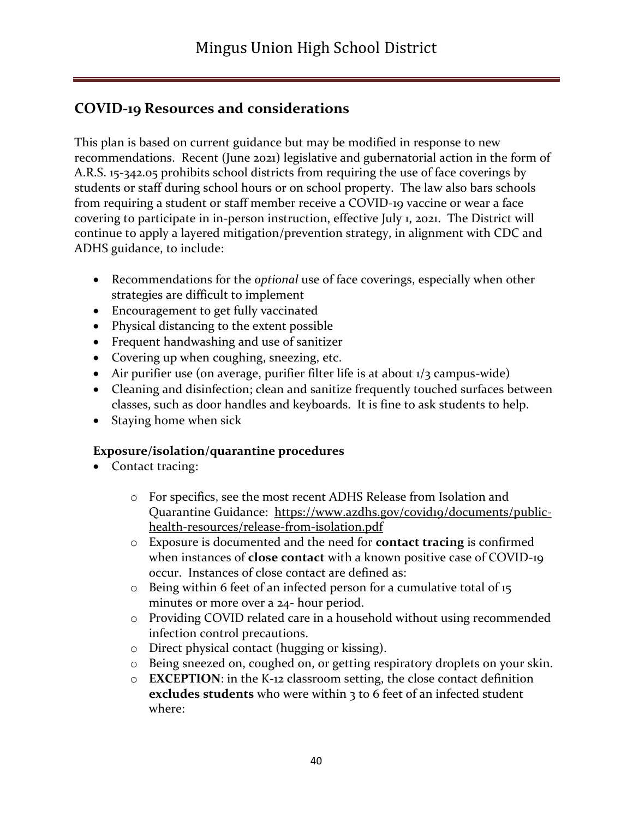## **COVID-19 Resources and considerations**

This plan is based on current guidance but may be modified in response to new recommendations. Recent (June 2021) legislative and gubernatorial action in the form of A.R.S. 15-342.05 prohibits school districts from requiring the use of face coverings by students or staff during school hours or on school property. The law also bars schools from requiring a student or staff member receive a COVID-19 vaccine or wear a face covering to participate in in-person instruction, effective July 1, 2021. The District will continue to apply a layered mitigation/prevention strategy, in alignment with CDC and ADHS guidance, to include:

- Recommendations for the *optional* use of face coverings, especially when other strategies are difficult to implement
- Encouragement to get fully vaccinated
- Physical distancing to the extent possible
- Frequent handwashing and use of sanitizer
- Covering up when coughing, sneezing, etc.
- Air purifier use (on average, purifier filter life is at about  $1/3$  campus-wide)
- Cleaning and disinfection; clean and sanitize frequently touched surfaces between classes, such as door handles and keyboards. It is fine to ask students to help.
- Staying home when sick

#### **Exposure/isolation/quarantine procedures**

- Contact tracing:
	- o For specifics, see the most recent ADHS Release from Isolation and Quarantine Guidance: [https://www.azdhs.gov/covid19/documents/public](https://www.azdhs.gov/covid19/documents/public-health-resources/release-from-isolation.pdf)[health-resources/release-from-isolation.pdf](https://www.azdhs.gov/covid19/documents/public-health-resources/release-from-isolation.pdf)
	- o Exposure is documented and the need for **contact tracing** is confirmed when instances of **close contact** with a known positive case of COVID-19 occur. Instances of close contact are defined as:
	- o Being within 6 feet of an infected person for a cumulative total of 15 minutes or more over a 24- hour period.
	- o Providing COVID related care in a household without using recommended infection control precautions.
	- o Direct physical contact (hugging or kissing).
	- o Being sneezed on, coughed on, or getting respiratory droplets on your skin.
	- o **EXCEPTION**: in the K-12 classroom setting, the close contact definition **excludes students** who were within 3 to 6 feet of an infected student where: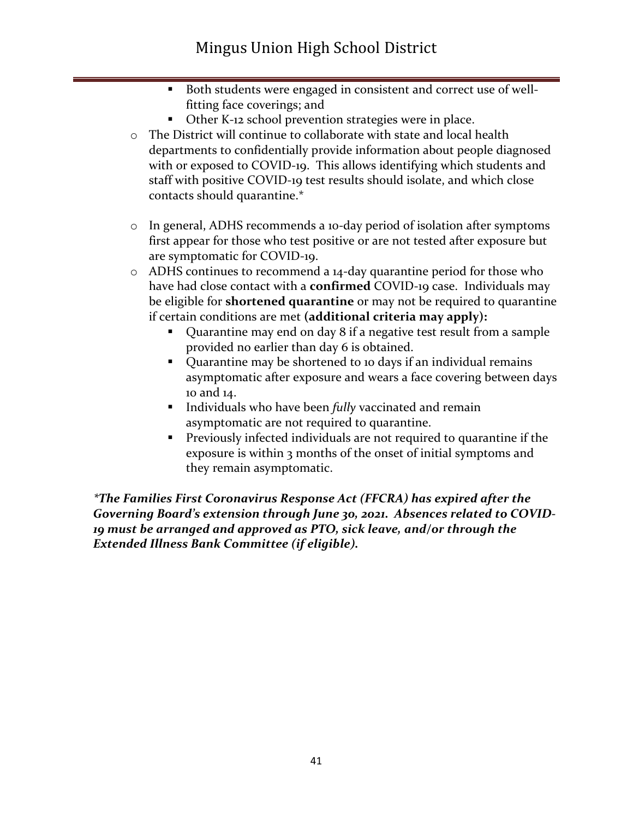- Both students were engaged in consistent and correct use of wellfitting face coverings; and
- Other K-12 school prevention strategies were in place.
- o The District will continue to collaborate with state and local health departments to confidentially provide information about people diagnosed with or exposed to COVID-19. This allows identifying which students and staff with positive COVID-19 test results should isolate, and which close contacts should quarantine.\*
- o In general, ADHS recommends a 10-day period of isolation after symptoms first appear for those who test positive or are not tested after exposure but are symptomatic for COVID-19.
- o ADHS continues to recommend a 14-day quarantine period for those who have had close contact with a **confirmed** COVID-19 case. Individuals may be eligible for **shortened quarantine** or may not be required to quarantine if certain conditions are met **(additional criteria may apply):**
	- Quarantine may end on day 8 if a negative test result from a sample provided no earlier than day 6 is obtained.
	- Quarantine may be shortened to 10 days if an individual remains asymptomatic after exposure and wears a face covering between days 10 and 14.
	- **EXECUTE:** Individuals who have been *fully* vaccinated and remain asymptomatic are not required to quarantine.
	- **•** Previously infected individuals are not required to quarantine if the exposure is within 3 months of the onset of initial symptoms and they remain asymptomatic.

*\*The Families First Coronavirus Response Act (FFCRA) has expired after the*  Governing Board's extension through June 30, 2021. Absences related to COVID-*19 must be arranged and approved as PTO, sick leave, and/or through the Extended Illness Bank Committee (if eligible).*